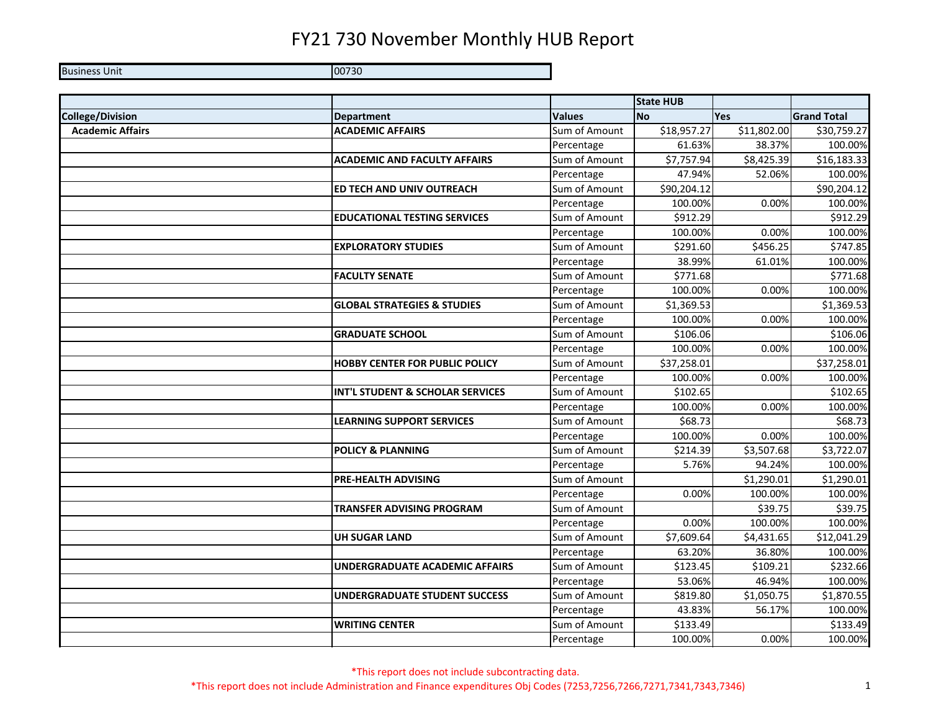**Business Unit** Unit 00730

|                         |                                        |               | <b>State HUB</b> |             |                    |
|-------------------------|----------------------------------------|---------------|------------------|-------------|--------------------|
| <b>College/Division</b> | <b>Department</b>                      | <b>Values</b> | <b>No</b>        | <b>Yes</b>  | <b>Grand Total</b> |
| <b>Academic Affairs</b> | <b>ACADEMIC AFFAIRS</b>                | Sum of Amount | \$18,957.27      | \$11,802.00 | \$30,759.27        |
|                         |                                        | Percentage    | 61.63%           | 38.37%      | 100.00%            |
|                         | <b>ACADEMIC AND FACULTY AFFAIRS</b>    | Sum of Amount | \$7,757.94       | \$8,425.39  | \$16,183.33        |
|                         |                                        | Percentage    | 47.94%           | 52.06%      | 100.00%            |
|                         | ED TECH AND UNIV OUTREACH              | Sum of Amount | \$90,204.12      |             | \$90,204.12        |
|                         |                                        | Percentage    | 100.00%          | 0.00%       | 100.00%            |
|                         | <b>EDUCATIONAL TESTING SERVICES</b>    | Sum of Amount | \$912.29         |             | \$912.29           |
|                         |                                        | Percentage    | 100.00%          | 0.00%       | 100.00%            |
|                         | <b>EXPLORATORY STUDIES</b>             | Sum of Amount | \$291.60         | \$456.25    | \$747.85           |
|                         |                                        | Percentage    | 38.99%           | 61.01%      | 100.00%            |
|                         | <b>FACULTY SENATE</b>                  | Sum of Amount | \$771.68         |             | \$771.68           |
|                         |                                        | Percentage    | 100.00%          | 0.00%       | 100.00%            |
|                         | <b>GLOBAL STRATEGIES &amp; STUDIES</b> | Sum of Amount | \$1,369.53       |             | \$1,369.53         |
|                         |                                        | Percentage    | 100.00%          | 0.00%       | 100.00%            |
|                         | <b>GRADUATE SCHOOL</b>                 | Sum of Amount | \$106.06         |             | \$106.06           |
|                         |                                        | Percentage    | 100.00%          | 0.00%       | 100.00%            |
|                         | <b>HOBBY CENTER FOR PUBLIC POLICY</b>  | Sum of Amount | \$37,258.01      |             | \$37,258.01        |
|                         |                                        | Percentage    | 100.00%          | 0.00%       | 100.00%            |
|                         | INT'L STUDENT & SCHOLAR SERVICES       | Sum of Amount | \$102.65         |             | \$102.65           |
|                         |                                        | Percentage    | 100.00%          | 0.00%       | 100.00%            |
|                         | <b>LEARNING SUPPORT SERVICES</b>       | Sum of Amount | \$68.73          |             | \$68.73            |
|                         |                                        | Percentage    | 100.00%          | 0.00%       | 100.00%            |
|                         | <b>POLICY &amp; PLANNING</b>           | Sum of Amount | \$214.39         | \$3,507.68  | \$3,722.07         |
|                         |                                        | Percentage    | 5.76%            | 94.24%      | 100.00%            |
|                         | <b>PRE-HEALTH ADVISING</b>             | Sum of Amount |                  | \$1,290.01  | \$1,290.01         |
|                         |                                        | Percentage    | 0.00%            | 100.00%     | 100.00%            |
|                         | <b>TRANSFER ADVISING PROGRAM</b>       | Sum of Amount |                  | \$39.75     | \$39.75            |
|                         |                                        | Percentage    | 0.00%            | 100.00%     | 100.00%            |
|                         | <b>UH SUGAR LAND</b>                   | Sum of Amount | \$7,609.64       | \$4,431.65  | \$12,041.29        |
|                         |                                        | Percentage    | 63.20%           | 36.80%      | 100.00%            |
|                         | <b>UNDERGRADUATE ACADEMIC AFFAIRS</b>  | Sum of Amount | \$123.45         | \$109.21    | \$232.66           |
|                         |                                        | Percentage    | 53.06%           | 46.94%      | 100.00%            |
|                         | <b>UNDERGRADUATE STUDENT SUCCESS</b>   | Sum of Amount | \$819.80         | \$1,050.75  | \$1,870.55         |
|                         |                                        | Percentage    | 43.83%           | 56.17%      | 100.00%            |
|                         | <b>WRITING CENTER</b>                  | Sum of Amount | \$133.49         |             | \$133.49           |
|                         |                                        | Percentage    | 100.00%          | 0.00%       | 100.00%            |

\*This report does not include subcontracting data. \*This report does not include Administration and Finance expenditures Obj Codes (7253,7256,7266,7271,7341,7343,7346) 1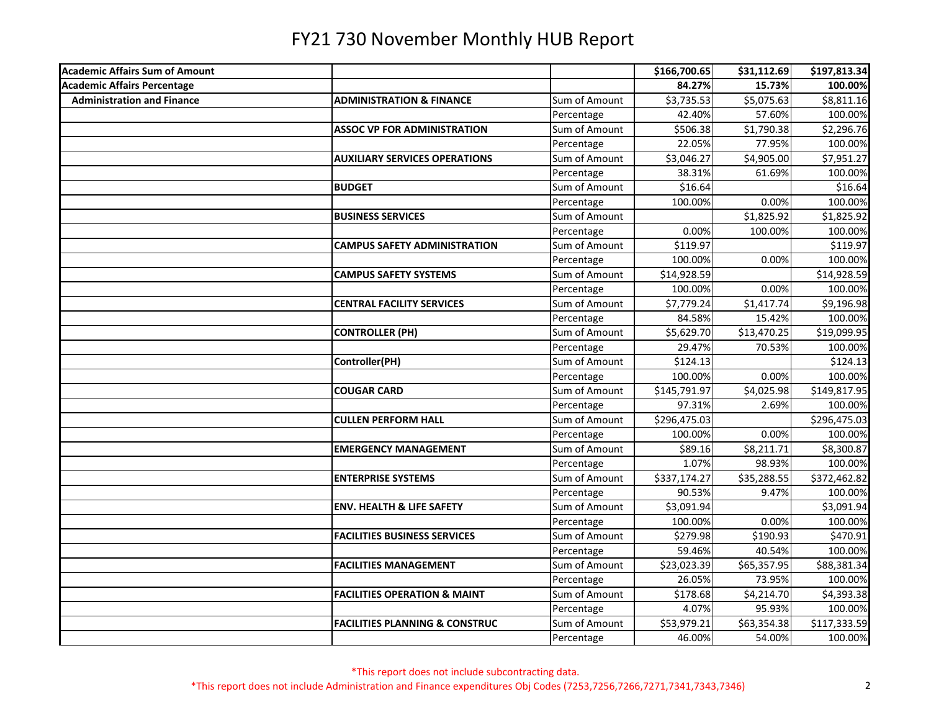| <b>Academic Affairs Sum of Amount</b> |                                           |               | \$166,700.65 | \$31,112.69 | \$197,813.34 |
|---------------------------------------|-------------------------------------------|---------------|--------------|-------------|--------------|
| <b>Academic Affairs Percentage</b>    |                                           |               | 84.27%       | 15.73%      | 100.00%      |
| <b>Administration and Finance</b>     | <b>ADMINISTRATION &amp; FINANCE</b>       | Sum of Amount | \$3,735.53   | \$5,075.63  | \$8,811.16   |
|                                       |                                           | Percentage    | 42.40%       | 57.60%      | 100.00%      |
|                                       | <b>ASSOC VP FOR ADMINISTRATION</b>        | Sum of Amount | \$506.38     | \$1,790.38  | \$2,296.76   |
|                                       |                                           | Percentage    | 22.05%       | 77.95%      | 100.00%      |
|                                       | <b>AUXILIARY SERVICES OPERATIONS</b>      | Sum of Amount | \$3,046.27   | \$4,905.00  | \$7,951.27   |
|                                       |                                           | Percentage    | 38.31%       | 61.69%      | 100.00%      |
|                                       | <b>BUDGET</b>                             | Sum of Amount | \$16.64      |             | \$16.64      |
|                                       |                                           | Percentage    | 100.00%      | 0.00%       | 100.00%      |
|                                       | <b>BUSINESS SERVICES</b>                  | Sum of Amount |              | \$1,825.92  | \$1,825.92   |
|                                       |                                           | Percentage    | 0.00%        | 100.00%     | 100.00%      |
|                                       | <b>CAMPUS SAFETY ADMINISTRATION</b>       | Sum of Amount | \$119.97     |             | \$119.97     |
|                                       |                                           | Percentage    | 100.00%      | 0.00%       | 100.00%      |
|                                       | <b>CAMPUS SAFETY SYSTEMS</b>              | Sum of Amount | \$14,928.59  |             | \$14,928.59  |
|                                       |                                           | Percentage    | 100.00%      | 0.00%       | 100.00%      |
|                                       | <b>CENTRAL FACILITY SERVICES</b>          | Sum of Amount | \$7,779.24   | \$1,417.74  | \$9,196.98   |
|                                       |                                           | Percentage    | 84.58%       | 15.42%      | 100.00%      |
|                                       | <b>CONTROLLER (PH)</b>                    | Sum of Amount | \$5,629.70   | \$13,470.25 | \$19,099.95  |
|                                       |                                           | Percentage    | 29.47%       | 70.53%      | 100.00%      |
|                                       | Controller(PH)                            | Sum of Amount | \$124.13     |             | \$124.13     |
|                                       |                                           | Percentage    | 100.00%      | 0.00%       | 100.00%      |
|                                       | <b>COUGAR CARD</b>                        | Sum of Amount | \$145,791.97 | \$4,025.98  | \$149,817.95 |
|                                       |                                           | Percentage    | 97.31%       | 2.69%       | 100.00%      |
|                                       | <b>CULLEN PERFORM HALL</b>                | Sum of Amount | \$296,475.03 |             | \$296,475.03 |
|                                       |                                           | Percentage    | 100.00%      | 0.00%       | 100.00%      |
|                                       | <b>EMERGENCY MANAGEMENT</b>               | Sum of Amount | \$89.16      | \$8,211.71  | \$8,300.87   |
|                                       |                                           | Percentage    | 1.07%        | 98.93%      | 100.00%      |
|                                       | <b>ENTERPRISE SYSTEMS</b>                 | Sum of Amount | \$337,174.27 | \$35,288.55 | \$372,462.82 |
|                                       |                                           | Percentage    | 90.53%       | 9.47%       | 100.00%      |
|                                       | <b>ENV. HEALTH &amp; LIFE SAFETY</b>      | Sum of Amount | \$3,091.94   |             | \$3,091.94   |
|                                       |                                           | Percentage    | 100.00%      | 0.00%       | 100.00%      |
|                                       | <b>FACILITIES BUSINESS SERVICES</b>       | Sum of Amount | \$279.98     | \$190.93    | \$470.91     |
|                                       |                                           | Percentage    | 59.46%       | 40.54%      | 100.00%      |
|                                       | <b>FACILITIES MANAGEMENT</b>              | Sum of Amount | \$23,023.39  | \$65,357.95 | \$88,381.34  |
|                                       |                                           | Percentage    | 26.05%       | 73.95%      | 100.00%      |
|                                       | <b>FACILITIES OPERATION &amp; MAINT</b>   | Sum of Amount | \$178.68     | \$4,214.70  | \$4,393.38   |
|                                       |                                           | Percentage    | 4.07%        | 95.93%      | 100.00%      |
|                                       | <b>FACILITIES PLANNING &amp; CONSTRUC</b> | Sum of Amount | \$53,979.21  | \$63,354.38 | \$117,333.59 |
|                                       |                                           | Percentage    | 46.00%       | 54.00%      | 100.00%      |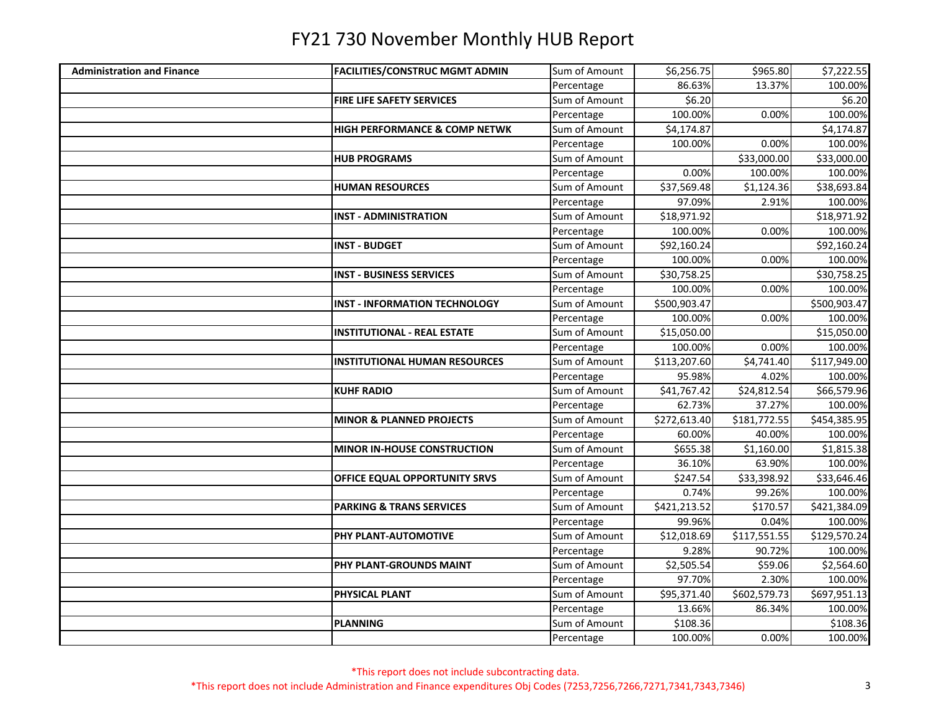| \$6,256.75<br>\$965.80<br>Sum of Amount<br><b>Administration and Finance</b><br><b>FACILITIES/CONSTRUC MGMT ADMIN</b><br>86.63%<br>13.37%<br>Percentage<br>\$6.20<br>Sum of Amount<br><b>FIRE LIFE SAFETY SERVICES</b><br>100.00%<br>0.00%<br>Percentage<br>Sum of Amount<br>\$4,174.87<br>HIGH PERFORMANCE & COMP NETWK<br>100.00%<br>0.00%<br>Percentage<br>Sum of Amount<br>\$33,000.00<br><b>HUB PROGRAMS</b><br>Percentage<br>0.00%<br>100.00%<br>Sum of Amount<br>\$37,569.48<br>\$1,124.36<br><b>HUMAN RESOURCES</b> | \$7,222.55<br>100.00%<br>\$6.20<br>100.00%<br>\$4,174.87<br>100.00%<br>\$33,000.00<br>100.00%<br>\$38,693.84<br>100.00%<br>\$18,971.92 |
|-----------------------------------------------------------------------------------------------------------------------------------------------------------------------------------------------------------------------------------------------------------------------------------------------------------------------------------------------------------------------------------------------------------------------------------------------------------------------------------------------------------------------------|----------------------------------------------------------------------------------------------------------------------------------------|
|                                                                                                                                                                                                                                                                                                                                                                                                                                                                                                                             |                                                                                                                                        |
|                                                                                                                                                                                                                                                                                                                                                                                                                                                                                                                             |                                                                                                                                        |
|                                                                                                                                                                                                                                                                                                                                                                                                                                                                                                                             |                                                                                                                                        |
|                                                                                                                                                                                                                                                                                                                                                                                                                                                                                                                             |                                                                                                                                        |
|                                                                                                                                                                                                                                                                                                                                                                                                                                                                                                                             |                                                                                                                                        |
|                                                                                                                                                                                                                                                                                                                                                                                                                                                                                                                             |                                                                                                                                        |
|                                                                                                                                                                                                                                                                                                                                                                                                                                                                                                                             |                                                                                                                                        |
|                                                                                                                                                                                                                                                                                                                                                                                                                                                                                                                             |                                                                                                                                        |
|                                                                                                                                                                                                                                                                                                                                                                                                                                                                                                                             |                                                                                                                                        |
| 97.09%<br>2.91%<br>Percentage                                                                                                                                                                                                                                                                                                                                                                                                                                                                                               |                                                                                                                                        |
| Sum of Amount<br>\$18,971.92<br><b>INST - ADMINISTRATION</b>                                                                                                                                                                                                                                                                                                                                                                                                                                                                |                                                                                                                                        |
| 100.00%<br>0.00%<br>Percentage                                                                                                                                                                                                                                                                                                                                                                                                                                                                                              | 100.00%                                                                                                                                |
| Sum of Amount<br><b>INST - BUDGET</b><br>\$92,160.24                                                                                                                                                                                                                                                                                                                                                                                                                                                                        | \$92,160.24                                                                                                                            |
| Percentage<br>100.00%<br>0.00%                                                                                                                                                                                                                                                                                                                                                                                                                                                                                              | 100.00%                                                                                                                                |
| Sum of Amount<br>\$30,758.25<br><b>INST - BUSINESS SERVICES</b>                                                                                                                                                                                                                                                                                                                                                                                                                                                             | \$30,758.25                                                                                                                            |
| 100.00%<br>Percentage<br>0.00%                                                                                                                                                                                                                                                                                                                                                                                                                                                                                              | 100.00%                                                                                                                                |
| Sum of Amount<br>\$500,903.47<br><b>INST - INFORMATION TECHNOLOGY</b>                                                                                                                                                                                                                                                                                                                                                                                                                                                       | \$500,903.47                                                                                                                           |
| 100.00%<br>0.00%<br>Percentage                                                                                                                                                                                                                                                                                                                                                                                                                                                                                              | 100.00%                                                                                                                                |
| Sum of Amount<br>\$15,050.00<br><b>INSTITUTIONAL - REAL ESTATE</b>                                                                                                                                                                                                                                                                                                                                                                                                                                                          | \$15,050.00                                                                                                                            |
| Percentage<br>100.00%<br>0.00%                                                                                                                                                                                                                                                                                                                                                                                                                                                                                              | 100.00%                                                                                                                                |
| Sum of Amount<br>\$113,207.60<br>\$4,741.40<br><b>INSTITUTIONAL HUMAN RESOURCES</b>                                                                                                                                                                                                                                                                                                                                                                                                                                         | \$117,949.00                                                                                                                           |
| Percentage<br>95.98%<br>4.02%                                                                                                                                                                                                                                                                                                                                                                                                                                                                                               | 100.00%                                                                                                                                |
| Sum of Amount<br>\$41,767.42<br>\$24,812.54<br><b>KUHF RADIO</b>                                                                                                                                                                                                                                                                                                                                                                                                                                                            | \$66,579.96                                                                                                                            |
| 62.73%<br>37.27%<br>Percentage                                                                                                                                                                                                                                                                                                                                                                                                                                                                                              | 100.00%                                                                                                                                |
| Sum of Amount<br>\$181,772.55<br><b>MINOR &amp; PLANNED PROJECTS</b><br>\$272,613.40                                                                                                                                                                                                                                                                                                                                                                                                                                        | \$454,385.95                                                                                                                           |
| 60.00%<br>40.00%<br>Percentage                                                                                                                                                                                                                                                                                                                                                                                                                                                                                              | 100.00%                                                                                                                                |
| Sum of Amount<br>$\overline{$}1,160.00$<br><b>MINOR IN-HOUSE CONSTRUCTION</b><br>\$655.38                                                                                                                                                                                                                                                                                                                                                                                                                                   | \$1,815.38                                                                                                                             |
| 63.90%<br>Percentage<br>36.10%                                                                                                                                                                                                                                                                                                                                                                                                                                                                                              | 100.00%                                                                                                                                |
| Sum of Amount<br>OFFICE EQUAL OPPORTUNITY SRVS<br>\$247.54<br>\$33,398.92                                                                                                                                                                                                                                                                                                                                                                                                                                                   | \$33,646.46                                                                                                                            |
| 0.74%<br>99.26%<br>Percentage                                                                                                                                                                                                                                                                                                                                                                                                                                                                                               | 100.00%                                                                                                                                |
| Sum of Amount<br>\$421,213.52<br>\$170.57<br><b>PARKING &amp; TRANS SERVICES</b>                                                                                                                                                                                                                                                                                                                                                                                                                                            | \$421,384.09                                                                                                                           |
| 99.96%<br>0.04%<br>Percentage                                                                                                                                                                                                                                                                                                                                                                                                                                                                                               | 100.00%                                                                                                                                |
| Sum of Amount<br>\$12,018.69<br>\$117,551.55<br>PHY PLANT-AUTOMOTIVE                                                                                                                                                                                                                                                                                                                                                                                                                                                        | \$129,570.24                                                                                                                           |
| Percentage<br>9.28%<br>90.72%                                                                                                                                                                                                                                                                                                                                                                                                                                                                                               | 100.00%                                                                                                                                |
| Sum of Amount<br>PHY PLANT-GROUNDS MAINT<br>\$2,505.54<br>\$59.06                                                                                                                                                                                                                                                                                                                                                                                                                                                           | \$2,564.60                                                                                                                             |
| Percentage<br>97.70%<br>2.30%                                                                                                                                                                                                                                                                                                                                                                                                                                                                                               | 100.00%                                                                                                                                |
| Sum of Amount<br>\$95,371.40<br>\$602,579.73<br><b>PHYSICAL PLANT</b>                                                                                                                                                                                                                                                                                                                                                                                                                                                       | \$697,951.13                                                                                                                           |
| 13.66%<br>Percentage<br>86.34%                                                                                                                                                                                                                                                                                                                                                                                                                                                                                              | 100.00%                                                                                                                                |
| Sum of Amount<br>\$108.36<br><b>PLANNING</b>                                                                                                                                                                                                                                                                                                                                                                                                                                                                                | \$108.36                                                                                                                               |
| 100.00%<br>0.00%<br>Percentage                                                                                                                                                                                                                                                                                                                                                                                                                                                                                              | 100.00%                                                                                                                                |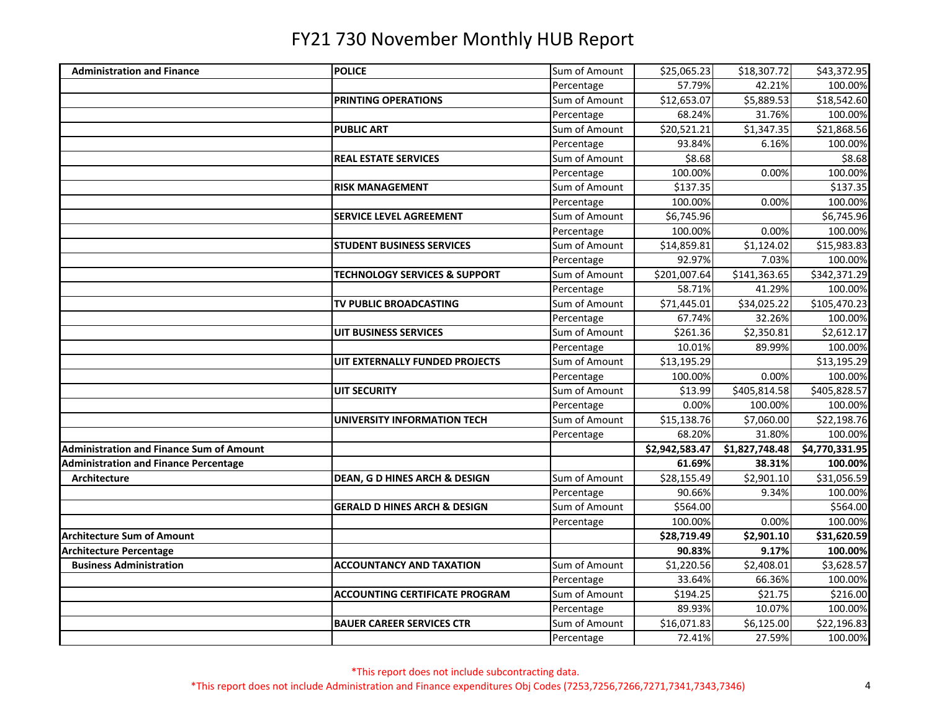| <b>Administration and Finance</b>               | <b>POLICE</b>                           | Sum of Amount | \$25,065.23    | \$18,307.72    | \$43,372.95    |
|-------------------------------------------------|-----------------------------------------|---------------|----------------|----------------|----------------|
|                                                 |                                         | Percentage    | 57.79%         | 42.21%         | 100.00%        |
|                                                 | PRINTING OPERATIONS                     | Sum of Amount | \$12,653.07    | \$5,889.53     | \$18,542.60    |
|                                                 |                                         | Percentage    | 68.24%         | 31.76%         | 100.00%        |
|                                                 | <b>PUBLIC ART</b>                       | Sum of Amount | \$20,521.21    | \$1,347.35     | \$21,868.56    |
|                                                 |                                         | Percentage    | 93.84%         | 6.16%          | 100.00%        |
|                                                 | <b>REAL ESTATE SERVICES</b>             | Sum of Amount | \$8.68         |                | \$8.68         |
|                                                 |                                         | Percentage    | 100.00%        | 0.00%          | 100.00%        |
|                                                 | <b>RISK MANAGEMENT</b>                  | Sum of Amount | \$137.35       |                | \$137.35       |
|                                                 |                                         | Percentage    | 100.00%        | 0.00%          | 100.00%        |
|                                                 | <b>SERVICE LEVEL AGREEMENT</b>          | Sum of Amount | \$6,745.96     |                | \$6,745.96     |
|                                                 |                                         | Percentage    | 100.00%        | 0.00%          | 100.00%        |
|                                                 | <b>STUDENT BUSINESS SERVICES</b>        | Sum of Amount | \$14,859.81    | \$1,124.02     | \$15,983.83    |
|                                                 |                                         | Percentage    | 92.97%         | 7.03%          | 100.00%        |
|                                                 | TECHNOLOGY SERVICES & SUPPORT           | Sum of Amount | \$201,007.64   | \$141,363.65   | \$342,371.29   |
|                                                 |                                         | Percentage    | 58.71%         | 41.29%         | 100.00%        |
|                                                 | TV PUBLIC BROADCASTING                  | Sum of Amount | \$71,445.01    | \$34,025.22    | \$105,470.23   |
|                                                 |                                         | Percentage    | 67.74%         | 32.26%         | 100.00%        |
|                                                 | UIT BUSINESS SERVICES                   | Sum of Amount | \$261.36       | \$2,350.81     | \$2,612.17     |
|                                                 |                                         | Percentage    | 10.01%         | 89.99%         | 100.00%        |
|                                                 | UIT EXTERNALLY FUNDED PROJECTS          | Sum of Amount | \$13,195.29    |                | \$13,195.29    |
|                                                 |                                         | Percentage    | 100.00%        | 0.00%          | 100.00%        |
|                                                 | UIT SECURITY                            | Sum of Amount | \$13.99        | \$405,814.58   | \$405,828.57   |
|                                                 |                                         | Percentage    | 0.00%          | 100.00%        | 100.00%        |
|                                                 | <b>UNIVERSITY INFORMATION TECH</b>      | Sum of Amount | \$15,138.76    | \$7,060.00     | \$22,198.76    |
|                                                 |                                         | Percentage    | 68.20%         | 31.80%         | 100.00%        |
| <b>Administration and Finance Sum of Amount</b> |                                         |               | \$2,942,583.47 | \$1,827,748.48 | \$4,770,331.95 |
| <b>Administration and Finance Percentage</b>    |                                         |               | 61.69%         | 38.31%         | 100.00%        |
| <b>Architecture</b>                             | DEAN, G D HINES ARCH & DESIGN           | Sum of Amount | \$28,155.49    | \$2,901.10     | \$31,056.59    |
|                                                 |                                         | Percentage    | 90.66%         | 9.34%          | 100.00%        |
|                                                 | <b>GERALD D HINES ARCH &amp; DESIGN</b> | Sum of Amount | \$564.00       |                | \$564.00       |
|                                                 |                                         | Percentage    | 100.00%        | 0.00%          | 100.00%        |
| <b>Architecture Sum of Amount</b>               |                                         |               | \$28,719.49    | \$2,901.10     | \$31,620.59    |
| <b>Architecture Percentage</b>                  |                                         |               | 90.83%         | 9.17%          | 100.00%        |
| <b>Business Administration</b>                  | <b>ACCOUNTANCY AND TAXATION</b>         | Sum of Amount | \$1,220.56     | \$2,408.01     | \$3,628.57     |
|                                                 |                                         | Percentage    | 33.64%         | 66.36%         | 100.00%        |
|                                                 | <b>ACCOUNTING CERTIFICATE PROGRAM</b>   | Sum of Amount | \$194.25       | \$21.75        | \$216.00       |
|                                                 |                                         | Percentage    | 89.93%         | 10.07%         | 100.00%        |
|                                                 | <b>BAUER CAREER SERVICES CTR</b>        | Sum of Amount | \$16,071.83    | \$6,125.00     | \$22,196.83    |
|                                                 |                                         | Percentage    | 72.41%         | 27.59%         | 100.00%        |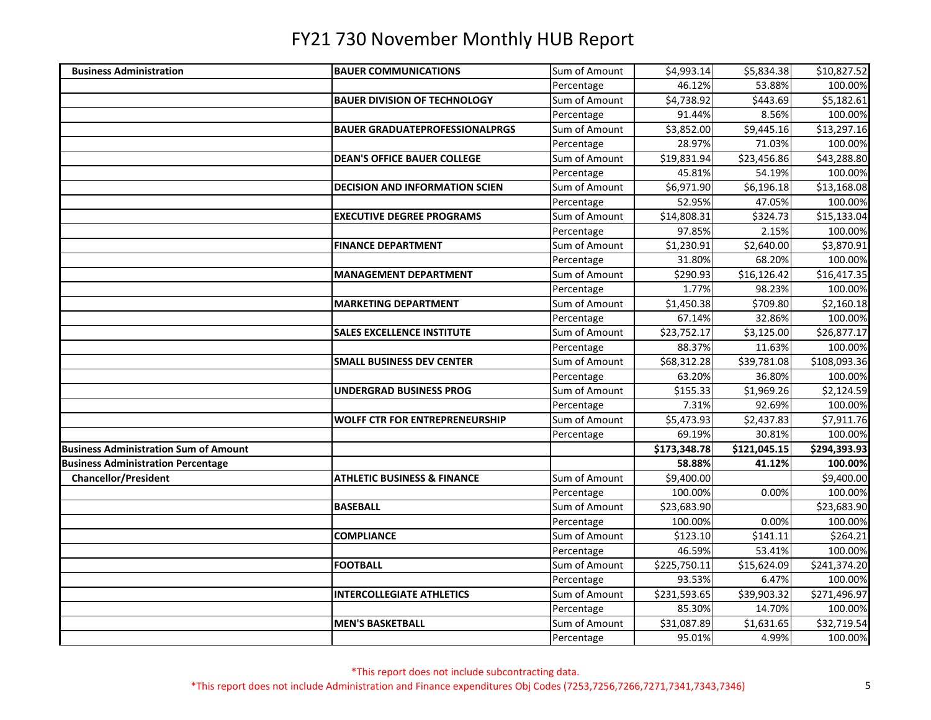| <b>Business Administration</b>               | <b>BAUER COMMUNICATIONS</b>            | Sum of Amount | \$4,993.14   | \$5,834.38   | \$10,827.52  |
|----------------------------------------------|----------------------------------------|---------------|--------------|--------------|--------------|
|                                              |                                        | Percentage    | 46.12%       | 53.88%       | 100.00%      |
|                                              | <b>BAUER DIVISION OF TECHNOLOGY</b>    | Sum of Amount | \$4,738.92   | \$443.69     | \$5,182.61   |
|                                              |                                        | Percentage    | 91.44%       | 8.56%        | 100.00%      |
|                                              | <b>BAUER GRADUATEPROFESSIONALPRGS</b>  | Sum of Amount | \$3,852.00   | \$9,445.16   | \$13,297.16  |
|                                              |                                        | Percentage    | 28.97%       | 71.03%       | 100.00%      |
|                                              | <b>DEAN'S OFFICE BAUER COLLEGE</b>     | Sum of Amount | \$19,831.94  | \$23,456.86  | \$43,288.80  |
|                                              |                                        | Percentage    | 45.81%       | 54.19%       | 100.00%      |
|                                              | <b>DECISION AND INFORMATION SCIEN</b>  | Sum of Amount | \$6,971.90   | \$6,196.18   | \$13,168.08  |
|                                              |                                        | Percentage    | 52.95%       | 47.05%       | 100.00%      |
|                                              | <b>EXECUTIVE DEGREE PROGRAMS</b>       | Sum of Amount | \$14,808.31  | \$324.73     | \$15,133.04  |
|                                              |                                        | Percentage    | 97.85%       | 2.15%        | 100.00%      |
|                                              | <b>FINANCE DEPARTMENT</b>              | Sum of Amount | \$1,230.91   | \$2,640.00   | \$3,870.91   |
|                                              |                                        | Percentage    | 31.80%       | 68.20%       | 100.00%      |
|                                              | <b>MANAGEMENT DEPARTMENT</b>           | Sum of Amount | \$290.93     | \$16,126.42  | \$16,417.35  |
|                                              |                                        | Percentage    | 1.77%        | 98.23%       | 100.00%      |
|                                              | <b>MARKETING DEPARTMENT</b>            | Sum of Amount | \$1,450.38   | \$709.80     | \$2,160.18   |
|                                              |                                        | Percentage    | 67.14%       | 32.86%       | 100.00%      |
|                                              | <b>SALES EXCELLENCE INSTITUTE</b>      | Sum of Amount | \$23,752.17  | \$3,125.00   | \$26,877.17  |
|                                              |                                        | Percentage    | 88.37%       | 11.63%       | 100.00%      |
|                                              | <b>SMALL BUSINESS DEV CENTER</b>       | Sum of Amount | \$68,312.28  | \$39,781.08  | \$108,093.36 |
|                                              |                                        | Percentage    | 63.20%       | 36.80%       | 100.00%      |
|                                              | <b>UNDERGRAD BUSINESS PROG</b>         | Sum of Amount | \$155.33     | \$1,969.26   | \$2,124.59   |
|                                              |                                        | Percentage    | 7.31%        | 92.69%       | 100.00%      |
|                                              | <b>WOLFF CTR FOR ENTREPRENEURSHIP</b>  | Sum of Amount | \$5,473.93   | \$2,437.83   | \$7,911.76   |
|                                              |                                        | Percentage    | 69.19%       | 30.81%       | 100.00%      |
| <b>Business Administration Sum of Amount</b> |                                        |               | \$173,348.78 | \$121,045.15 | \$294,393.93 |
| <b>Business Administration Percentage</b>    |                                        |               | 58.88%       | 41.12%       | 100.00%      |
| <b>Chancellor/President</b>                  | <b>ATHLETIC BUSINESS &amp; FINANCE</b> | Sum of Amount | \$9,400.00   |              | \$9,400.00   |
|                                              |                                        | Percentage    | 100.00%      | 0.00%        | 100.00%      |
|                                              | <b>BASEBALL</b>                        | Sum of Amount | \$23,683.90  |              | \$23,683.90  |
|                                              |                                        | Percentage    | 100.00%      | 0.00%        | 100.00%      |
|                                              | <b>COMPLIANCE</b>                      | Sum of Amount | \$123.10     | \$141.11     | \$264.21     |
|                                              |                                        | Percentage    | 46.59%       | 53.41%       | 100.00%      |
|                                              | <b>FOOTBALL</b>                        | Sum of Amount | \$225,750.11 | \$15,624.09  | \$241,374.20 |
|                                              |                                        | Percentage    | 93.53%       | 6.47%        | 100.00%      |
|                                              | <b>INTERCOLLEGIATE ATHLETICS</b>       | Sum of Amount | \$231,593.65 | \$39,903.32  | \$271,496.97 |
|                                              |                                        | Percentage    | 85.30%       | 14.70%       | 100.00%      |
|                                              | <b>MEN'S BASKETBALL</b>                | Sum of Amount | \$31,087.89  | \$1,631.65   | \$32,719.54  |
|                                              |                                        | Percentage    | 95.01%       | 4.99%        | 100.00%      |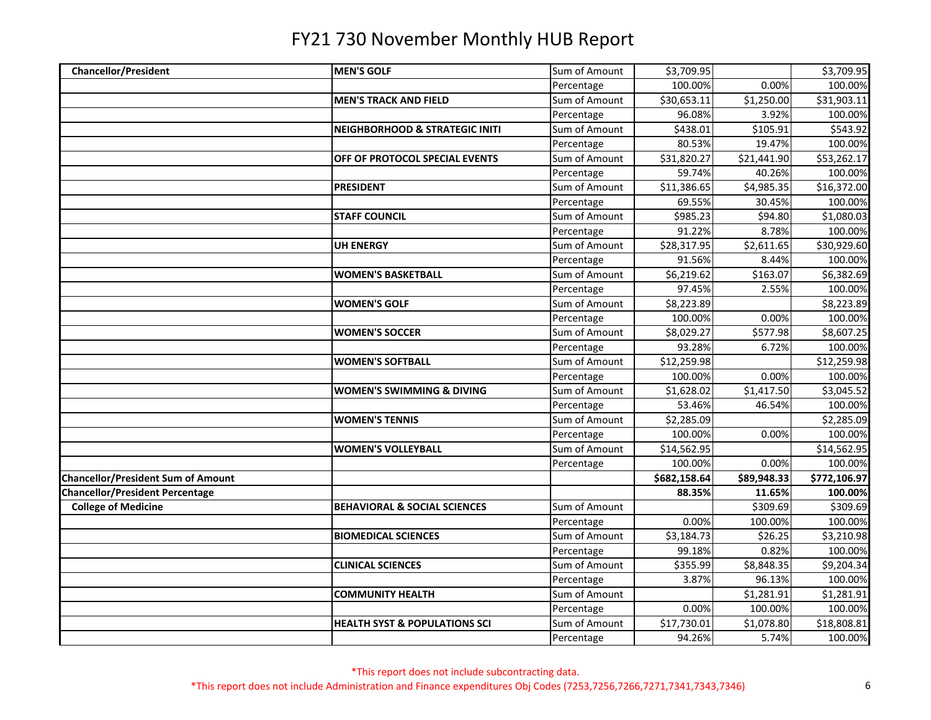| <b>Chancellor/President</b>               | <b>MEN'S GOLF</b>                         | Sum of Amount | \$3,709.95   |             | \$3,709.95   |
|-------------------------------------------|-------------------------------------------|---------------|--------------|-------------|--------------|
|                                           |                                           | Percentage    | 100.00%      | 0.00%       | 100.00%      |
|                                           | <b>MEN'S TRACK AND FIELD</b>              | Sum of Amount | \$30,653.11  | \$1,250.00  | \$31,903.11  |
|                                           |                                           | Percentage    | 96.08%       | 3.92%       | 100.00%      |
|                                           | <b>NEIGHBORHOOD &amp; STRATEGIC INITI</b> | Sum of Amount | \$438.01     | \$105.91    | \$543.92     |
|                                           |                                           | Percentage    | 80.53%       | 19.47%      | 100.00%      |
|                                           | OFF OF PROTOCOL SPECIAL EVENTS            | Sum of Amount | \$31,820.27  | \$21,441.90 | \$53,262.17  |
|                                           |                                           | Percentage    | 59.74%       | 40.26%      | 100.00%      |
|                                           | <b>PRESIDENT</b>                          | Sum of Amount | \$11,386.65  | \$4,985.35  | \$16,372.00  |
|                                           |                                           | Percentage    | 69.55%       | 30.45%      | 100.00%      |
|                                           | <b>STAFF COUNCIL</b>                      | Sum of Amount | \$985.23     | \$94.80     | \$1,080.03   |
|                                           |                                           | Percentage    | 91.22%       | 8.78%       | 100.00%      |
|                                           | <b>UH ENERGY</b>                          | Sum of Amount | \$28,317.95  | \$2,611.65  | \$30,929.60  |
|                                           |                                           | Percentage    | 91.56%       | 8.44%       | 100.00%      |
|                                           | <b>WOMEN'S BASKETBALL</b>                 | Sum of Amount | \$6,219.62   | \$163.07    | \$6,382.69   |
|                                           |                                           | Percentage    | 97.45%       | 2.55%       | 100.00%      |
|                                           | <b>WOMEN'S GOLF</b>                       | Sum of Amount | \$8,223.89   |             | \$8,223.89   |
|                                           |                                           | Percentage    | 100.00%      | 0.00%       | 100.00%      |
|                                           | <b>WOMEN'S SOCCER</b>                     | Sum of Amount | \$8,029.27   | \$577.98    | \$8,607.25   |
|                                           |                                           | Percentage    | 93.28%       | 6.72%       | 100.00%      |
|                                           | <b>WOMEN'S SOFTBALL</b>                   | Sum of Amount | \$12,259.98  |             | \$12,259.98  |
|                                           |                                           | Percentage    | 100.00%      | 0.00%       | 100.00%      |
|                                           | <b>WOMEN'S SWIMMING &amp; DIVING</b>      | Sum of Amount | \$1,628.02   | \$1,417.50  | \$3,045.52   |
|                                           |                                           | Percentage    | 53.46%       | 46.54%      | 100.00%      |
|                                           | <b>WOMEN'S TENNIS</b>                     | Sum of Amount | \$2,285.09   |             | \$2,285.09   |
|                                           |                                           | Percentage    | 100.00%      | 0.00%       | 100.00%      |
|                                           | <b>WOMEN'S VOLLEYBALL</b>                 | Sum of Amount | \$14,562.95  |             | \$14,562.95  |
|                                           |                                           | Percentage    | 100.00%      | 0.00%       | 100.00%      |
| <b>Chancellor/President Sum of Amount</b> |                                           |               | \$682,158.64 | \$89,948.33 | \$772,106.97 |
| <b>Chancellor/President Percentage</b>    |                                           |               | 88.35%       | 11.65%      | 100.00%      |
| <b>College of Medicine</b>                | <b>BEHAVIORAL &amp; SOCIAL SCIENCES</b>   | Sum of Amount |              | \$309.69    | \$309.69     |
|                                           |                                           | Percentage    | 0.00%        | 100.00%     | 100.00%      |
|                                           | <b>BIOMEDICAL SCIENCES</b>                | Sum of Amount | \$3,184.73   | \$26.25     | \$3,210.98   |
|                                           |                                           | Percentage    | 99.18%       | 0.82%       | 100.00%      |
|                                           | <b>CLINICAL SCIENCES</b>                  | Sum of Amount | \$355.99     | \$8,848.35  | \$9,204.34   |
|                                           |                                           | Percentage    | 3.87%        | 96.13%      | 100.00%      |
|                                           | <b>COMMUNITY HEALTH</b>                   | Sum of Amount |              | \$1,281.91  | \$1,281.91   |
|                                           |                                           | Percentage    | 0.00%        | 100.00%     | 100.00%      |
|                                           | <b>HEALTH SYST &amp; POPULATIONS SCI</b>  | Sum of Amount | \$17,730.01  | \$1,078.80  | \$18,808.81  |
|                                           |                                           | Percentage    | 94.26%       | 5.74%       | 100.00%      |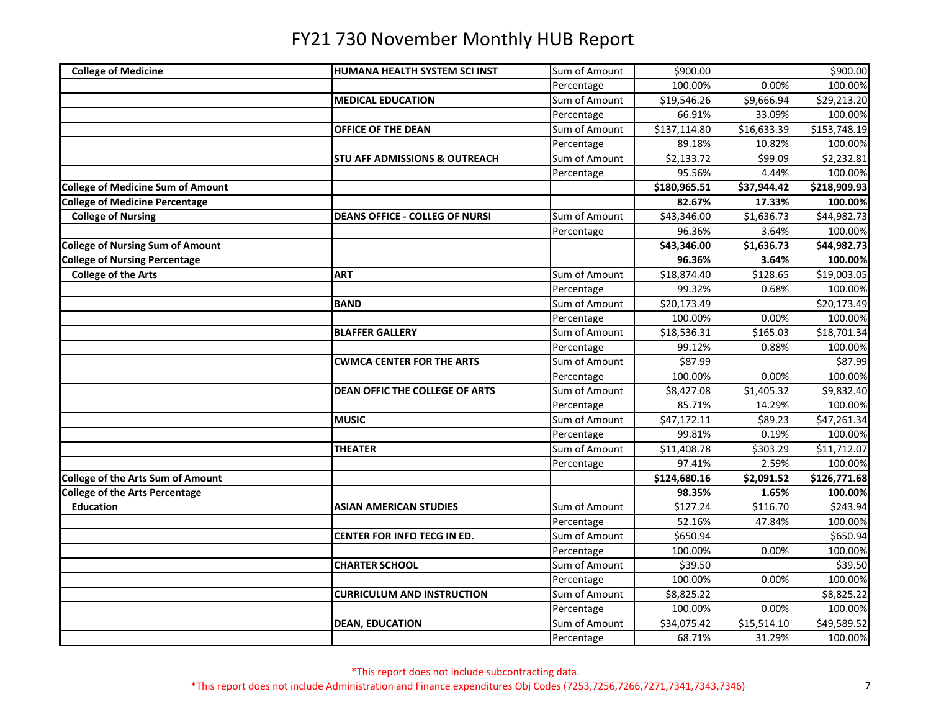| <b>College of Medicine</b>               | HUMANA HEALTH SYSTEM SCI INST            | Sum of Amount | \$900.00                |             | \$900.00     |
|------------------------------------------|------------------------------------------|---------------|-------------------------|-------------|--------------|
|                                          |                                          | Percentage    | 100.00%                 | 0.00%       | 100.00%      |
|                                          | <b>MEDICAL EDUCATION</b>                 | Sum of Amount | \$19,546.26             | \$9,666.94  | \$29,213.20  |
|                                          |                                          | Percentage    | 66.91%                  | 33.09%      | 100.00%      |
|                                          | OFFICE OF THE DEAN                       | Sum of Amount | \$137,114.80            | \$16,633.39 | \$153,748.19 |
|                                          |                                          | Percentage    | 89.18%                  | 10.82%      | 100.00%      |
|                                          | <b>STU AFF ADMISSIONS &amp; OUTREACH</b> | Sum of Amount | \$2,133.72              | \$99.09     | \$2,232.81   |
|                                          |                                          | Percentage    | 95.56%                  | 4.44%       | 100.00%      |
| <b>College of Medicine Sum of Amount</b> |                                          |               | \$180,965.51            | \$37,944.42 | \$218,909.93 |
| <b>College of Medicine Percentage</b>    |                                          |               | 82.67%                  | 17.33%      | 100.00%      |
| <b>College of Nursing</b>                | <b>DEANS OFFICE - COLLEG OF NURSI</b>    | Sum of Amount | \$43,346.00             | \$1,636.73  | \$44,982.73  |
|                                          |                                          | Percentage    | 96.36%                  | 3.64%       | 100.00%      |
| <b>College of Nursing Sum of Amount</b>  |                                          |               | \$43,346.00             | \$1,636.73  | \$44,982.73  |
| <b>College of Nursing Percentage</b>     |                                          |               | 96.36%                  | 3.64%       | 100.00%      |
| <b>College of the Arts</b>               | <b>ART</b>                               | Sum of Amount | \$18,874.40             | \$128.65    | \$19,003.05  |
|                                          |                                          | Percentage    | 99.32%                  | 0.68%       | 100.00%      |
|                                          | <b>BAND</b>                              | Sum of Amount | \$20,173.49             |             | \$20,173.49  |
|                                          |                                          | Percentage    | 100.00%                 | 0.00%       | 100.00%      |
|                                          | <b>BLAFFER GALLERY</b>                   | Sum of Amount | \$18,536.31             | \$165.03    | \$18,701.34  |
|                                          |                                          | Percentage    | 99.12%                  | 0.88%       | 100.00%      |
|                                          | <b>CWMCA CENTER FOR THE ARTS</b>         | Sum of Amount | \$87.99                 |             | \$87.99      |
|                                          |                                          | Percentage    | 100.00%                 | 0.00%       | 100.00%      |
|                                          | <b>DEAN OFFIC THE COLLEGE OF ARTS</b>    | Sum of Amount | \$8,427.08              | \$1,405.32  | \$9,832.40   |
|                                          |                                          | Percentage    | 85.71%                  | 14.29%      | 100.00%      |
|                                          | <b>MUSIC</b>                             | Sum of Amount | \$47,172.11             | \$89.23     | \$47,261.34  |
|                                          |                                          | Percentage    | 99.81%                  | 0.19%       | 100.00%      |
|                                          | <b>THEATER</b>                           | Sum of Amount | $\overline{$}11,408.78$ | \$303.29    | \$11,712.07  |
|                                          |                                          | Percentage    | 97.41%                  | 2.59%       | 100.00%      |
| <b>College of the Arts Sum of Amount</b> |                                          |               | \$124,680.16            | \$2,091.52  | \$126,771.68 |
| <b>College of the Arts Percentage</b>    |                                          |               | 98.35%                  | 1.65%       | 100.00%      |
| <b>Education</b>                         | <b>ASIAN AMERICAN STUDIES</b>            | Sum of Amount | \$127.24                | \$116.70    | \$243.94     |
|                                          |                                          | Percentage    | 52.16%                  | 47.84%      | 100.00%      |
|                                          | CENTER FOR INFO TECG IN ED.              | Sum of Amount | \$650.94                |             | \$650.94     |
|                                          |                                          | Percentage    | 100.00%                 | 0.00%       | 100.00%      |
|                                          | <b>CHARTER SCHOOL</b>                    | Sum of Amount | \$39.50                 |             | \$39.50      |
|                                          |                                          | Percentage    | 100.00%                 | 0.00%       | 100.00%      |
|                                          | <b>CURRICULUM AND INSTRUCTION</b>        | Sum of Amount | \$8,825.22              |             | \$8,825.22   |
|                                          |                                          | Percentage    | 100.00%                 | 0.00%       | 100.00%      |
|                                          | <b>DEAN, EDUCATION</b>                   | Sum of Amount | \$34,075.42             | \$15,514.10 | \$49,589.52  |
|                                          |                                          | Percentage    | 68.71%                  | 31.29%      | 100.00%      |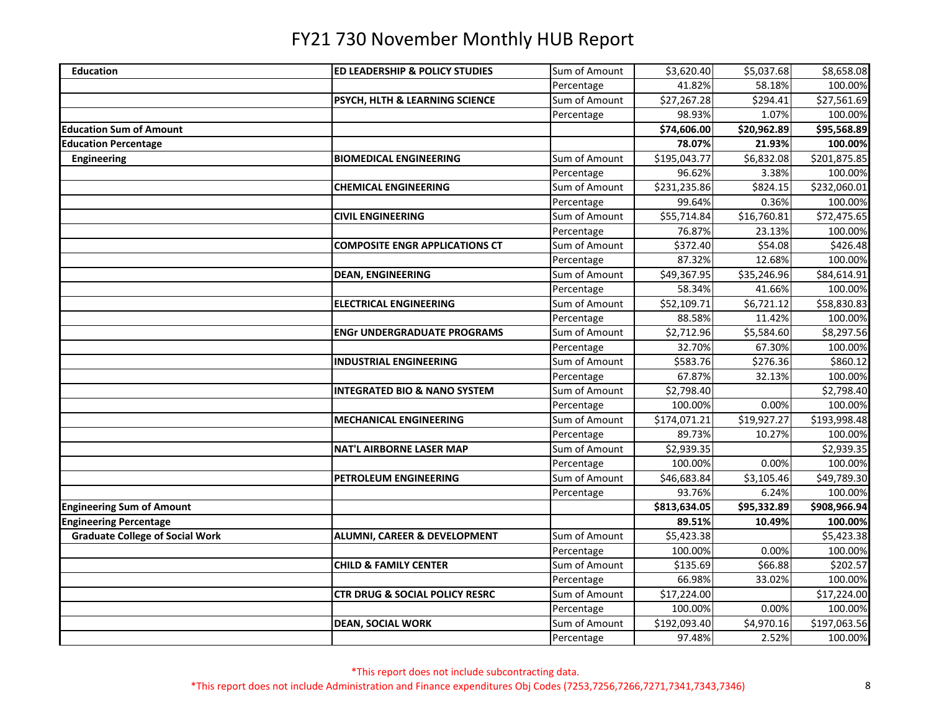| <b>Education</b>                       | ED LEADERSHIP & POLICY STUDIES            | Sum of Amount | \$3,620.40   | \$5,037.68              | \$8,658.08   |
|----------------------------------------|-------------------------------------------|---------------|--------------|-------------------------|--------------|
|                                        |                                           | Percentage    | 41.82%       | 58.18%                  | 100.00%      |
|                                        | PSYCH, HLTH & LEARNING SCIENCE            | Sum of Amount | \$27,267.28  | \$294.41                | \$27,561.69  |
|                                        |                                           | Percentage    | 98.93%       | 1.07%                   | 100.00%      |
| <b>Education Sum of Amount</b>         |                                           |               | \$74,606.00  | \$20,962.89             | \$95,568.89  |
| <b>Education Percentage</b>            |                                           |               | 78.07%       | 21.93%                  | 100.00%      |
| <b>Engineering</b>                     | <b>BIOMEDICAL ENGINEERING</b>             | Sum of Amount | \$195,043.77 | \$6,832.08              | \$201,875.85 |
|                                        |                                           | Percentage    | 96.62%       | 3.38%                   | 100.00%      |
|                                        | <b>CHEMICAL ENGINEERING</b>               | Sum of Amount | \$231,235.86 | \$824.15                | \$232,060.01 |
|                                        |                                           | Percentage    | 99.64%       | 0.36%                   | 100.00%      |
|                                        | <b>CIVIL ENGINEERING</b>                  | Sum of Amount | \$55,714.84  | \$16,760.81             | \$72,475.65  |
|                                        |                                           | Percentage    | 76.87%       | 23.13%                  | 100.00%      |
|                                        | <b>COMPOSITE ENGR APPLICATIONS CT</b>     | Sum of Amount | \$372.40     | \$54.08                 | \$426.48     |
|                                        |                                           | Percentage    | 87.32%       | 12.68%                  | 100.00%      |
|                                        | <b>DEAN, ENGINEERING</b>                  | Sum of Amount | \$49,367.95  | $\overline{$}35,246.96$ | \$84,614.91  |
|                                        |                                           | Percentage    | 58.34%       | 41.66%                  | 100.00%      |
|                                        | <b>ELECTRICAL ENGINEERING</b>             | Sum of Amount | \$52,109.71  | \$6,721.12              | \$58,830.83  |
|                                        |                                           | Percentage    | 88.58%       | 11.42%                  | 100.00%      |
|                                        | <b>ENGr UNDERGRADUATE PROGRAMS</b>        | Sum of Amount | \$2,712.96   | \$5,584.60              | \$8,297.56   |
|                                        |                                           | Percentage    | 32.70%       | 67.30%                  | 100.00%      |
|                                        | <b>INDUSTRIAL ENGINEERING</b>             | Sum of Amount | \$583.76     | \$276.36                | \$860.12     |
|                                        |                                           | Percentage    | 67.87%       | 32.13%                  | 100.00%      |
|                                        | <b>INTEGRATED BIO &amp; NANO SYSTEM</b>   | Sum of Amount | \$2,798.40   |                         | \$2,798.40   |
|                                        |                                           | Percentage    | 100.00%      | 0.00%                   | 100.00%      |
|                                        | <b>MECHANICAL ENGINEERING</b>             | Sum of Amount | \$174,071.21 | \$19,927.27             | \$193,998.48 |
|                                        |                                           | Percentage    | 89.73%       | 10.27%                  | 100.00%      |
|                                        | <b>NAT'L AIRBORNE LASER MAP</b>           | Sum of Amount | \$2,939.35   |                         | \$2,939.35   |
|                                        |                                           | Percentage    | 100.00%      | 0.00%                   | 100.00%      |
|                                        | PETROLEUM ENGINEERING                     | Sum of Amount | \$46,683.84  | \$3,105.46              | \$49,789.30  |
|                                        |                                           | Percentage    | 93.76%       | 6.24%                   | 100.00%      |
| <b>Engineering Sum of Amount</b>       |                                           |               | \$813,634.05 | \$95,332.89             | \$908,966.94 |
| <b>Engineering Percentage</b>          |                                           |               | 89.51%       | 10.49%                  | 100.00%      |
| <b>Graduate College of Social Work</b> | <b>ALUMNI, CAREER &amp; DEVELOPMENT</b>   | Sum of Amount | \$5,423.38   |                         | \$5,423.38   |
|                                        |                                           | Percentage    | 100.00%      | 0.00%                   | 100.00%      |
|                                        | <b>CHILD &amp; FAMILY CENTER</b>          | Sum of Amount | \$135.69     | \$66.88                 | \$202.57     |
|                                        |                                           | Percentage    | 66.98%       | 33.02%                  | 100.00%      |
|                                        | <b>CTR DRUG &amp; SOCIAL POLICY RESRC</b> | Sum of Amount | \$17,224.00  |                         | \$17,224.00  |
|                                        |                                           | Percentage    | 100.00%      | 0.00%                   | 100.00%      |
|                                        | <b>DEAN, SOCIAL WORK</b>                  | Sum of Amount | \$192,093.40 | \$4,970.16              | \$197,063.56 |
|                                        |                                           | Percentage    | 97.48%       | 2.52%                   | 100.00%      |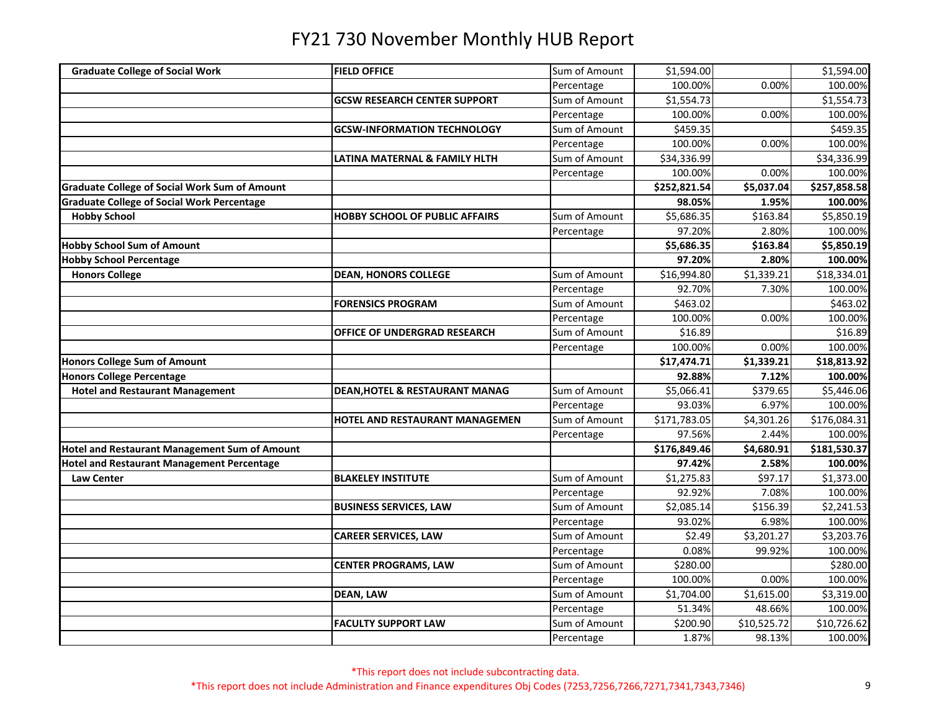| <b>Graduate College of Social Work</b>               | <b>FIELD OFFICE</b>                       | Sum of Amount | \$1,594.00   |             | \$1,594.00   |
|------------------------------------------------------|-------------------------------------------|---------------|--------------|-------------|--------------|
|                                                      |                                           | Percentage    | 100.00%      | 0.00%       | 100.00%      |
|                                                      | <b>GCSW RESEARCH CENTER SUPPORT</b>       | Sum of Amount | \$1,554.73   |             | \$1,554.73   |
|                                                      |                                           | Percentage    | 100.00%      | 0.00%       | 100.00%      |
|                                                      | <b>GCSW-INFORMATION TECHNOLOGY</b>        | Sum of Amount | \$459.35     |             | \$459.35     |
|                                                      |                                           | Percentage    | 100.00%      | 0.00%       | 100.00%      |
|                                                      | LATINA MATERNAL & FAMILY HLTH             | Sum of Amount | \$34,336.99  |             | \$34,336.99  |
|                                                      |                                           | Percentage    | 100.00%      | 0.00%       | 100.00%      |
| <b>Graduate College of Social Work Sum of Amount</b> |                                           |               | \$252,821.54 | \$5,037.04  | \$257,858.58 |
| <b>Graduate College of Social Work Percentage</b>    |                                           |               | 98.05%       | 1.95%       | 100.00%      |
| <b>Hobby School</b>                                  | <b>HOBBY SCHOOL OF PUBLIC AFFAIRS</b>     | Sum of Amount | \$5,686.35   | \$163.84    | \$5,850.19   |
|                                                      |                                           | Percentage    | 97.20%       | 2.80%       | 100.00%      |
| <b>Hobby School Sum of Amount</b>                    |                                           |               | \$5,686.35   | \$163.84    | \$5,850.19   |
| <b>Hobby School Percentage</b>                       |                                           |               | 97.20%       | 2.80%       | 100.00%      |
| <b>Honors College</b>                                | <b>DEAN, HONORS COLLEGE</b>               | Sum of Amount | \$16,994.80  | \$1,339.21  | \$18,334.01  |
|                                                      |                                           | Percentage    | 92.70%       | 7.30%       | 100.00%      |
|                                                      | <b>FORENSICS PROGRAM</b>                  | Sum of Amount | \$463.02     |             | \$463.02     |
|                                                      |                                           | Percentage    | 100.00%      | 0.00%       | 100.00%      |
|                                                      | OFFICE OF UNDERGRAD RESEARCH              | Sum of Amount | \$16.89      |             | \$16.89      |
|                                                      |                                           | Percentage    | 100.00%      | 0.00%       | 100.00%      |
| <b>Honors College Sum of Amount</b>                  |                                           |               | \$17,474.71  |             |              |
|                                                      |                                           |               |              | \$1,339.21  | \$18,813.92  |
| <b>Honors College Percentage</b>                     |                                           |               | 92.88%       | 7.12%       | 100.00%      |
| <b>Hotel and Restaurant Management</b>               | <b>DEAN, HOTEL &amp; RESTAURANT MANAG</b> | Sum of Amount | \$5,066.41   | \$379.65    | \$5,446.06   |
|                                                      |                                           | Percentage    | 93.03%       | 6.97%       | 100.00%      |
|                                                      | HOTEL AND RESTAURANT MANAGEMEN            | Sum of Amount | \$171,783.05 | \$4,301.26  | \$176,084.31 |
|                                                      |                                           | Percentage    | 97.56%       | 2.44%       | 100.00%      |
| <b>Hotel and Restaurant Management Sum of Amount</b> |                                           |               | \$176,849.46 | \$4,680.91  | \$181,530.37 |
| <b>Hotel and Restaurant Management Percentage</b>    |                                           |               | 97.42%       | 2.58%       | 100.00%      |
| <b>Law Center</b>                                    | <b>BLAKELEY INSTITUTE</b>                 | Sum of Amount | \$1,275.83   | \$97.17     | \$1,373.00   |
|                                                      |                                           | Percentage    | 92.92%       | 7.08%       | 100.00%      |
|                                                      | <b>BUSINESS SERVICES, LAW</b>             | Sum of Amount | \$2,085.14   | \$156.39    | \$2,241.53   |
|                                                      |                                           | Percentage    | 93.02%       | 6.98%       | 100.00%      |
|                                                      | <b>CAREER SERVICES, LAW</b>               | Sum of Amount | \$2.49       | \$3,201.27  | \$3,203.76   |
|                                                      |                                           | Percentage    | 0.08%        | 99.92%      | 100.00%      |
|                                                      | <b>CENTER PROGRAMS, LAW</b>               | Sum of Amount | \$280.00     |             | \$280.00     |
|                                                      |                                           | Percentage    | 100.00%      | 0.00%       | 100.00%      |
|                                                      | <b>DEAN, LAW</b>                          | Sum of Amount | \$1,704.00   | \$1,615.00  | \$3,319.00   |
|                                                      |                                           | Percentage    | 51.34%       | 48.66%      | 100.00%      |
|                                                      | <b>FACULTY SUPPORT LAW</b>                | Sum of Amount | \$200.90     | \$10,525.72 | \$10,726.62  |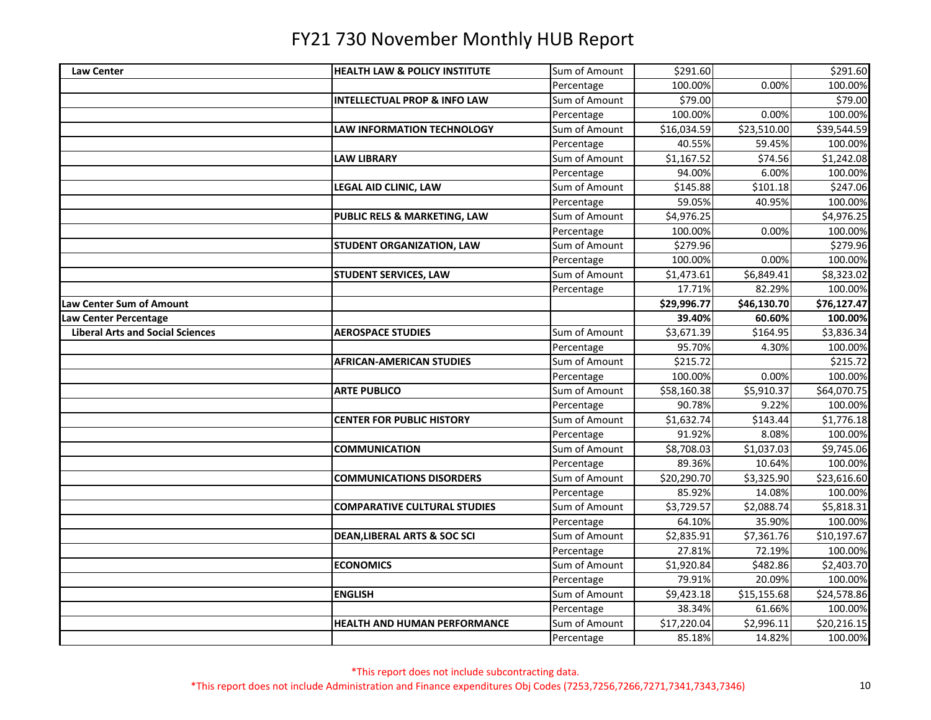| <b>Law Center</b>                       | <b>HEALTH LAW &amp; POLICY INSTITUTE</b> | Sum of Amount | \$291.60    |             | \$291.60    |
|-----------------------------------------|------------------------------------------|---------------|-------------|-------------|-------------|
|                                         |                                          | Percentage    | 100.00%     | 0.00%       | 100.00%     |
|                                         | <b>INTELLECTUAL PROP &amp; INFO LAW</b>  | Sum of Amount | \$79.00     |             | \$79.00     |
|                                         |                                          | Percentage    | 100.00%     | 0.00%       | 100.00%     |
|                                         | LAW INFORMATION TECHNOLOGY               | Sum of Amount | \$16,034.59 | \$23,510.00 | \$39,544.59 |
|                                         |                                          | Percentage    | 40.55%      | 59.45%      | 100.00%     |
|                                         | <b>LAW LIBRARY</b>                       | Sum of Amount | \$1,167.52  | \$74.56     | \$1,242.08  |
|                                         |                                          | Percentage    | 94.00%      | 6.00%       | 100.00%     |
|                                         | LEGAL AID CLINIC, LAW                    | Sum of Amount | \$145.88    | \$101.18    | \$247.06    |
|                                         |                                          | Percentage    | 59.05%      | 40.95%      | 100.00%     |
|                                         | PUBLIC RELS & MARKETING, LAW             | Sum of Amount | \$4,976.25  |             | \$4,976.25  |
|                                         |                                          | Percentage    | 100.00%     | 0.00%       | 100.00%     |
|                                         | <b>STUDENT ORGANIZATION, LAW</b>         | Sum of Amount | \$279.96    |             | \$279.96    |
|                                         |                                          | Percentage    | 100.00%     | 0.00%       | 100.00%     |
|                                         | <b>STUDENT SERVICES, LAW</b>             | Sum of Amount | \$1,473.61  | \$6,849.41  | \$8,323.02  |
|                                         |                                          | Percentage    | 17.71%      | 82.29%      | 100.00%     |
| Law Center Sum of Amount                |                                          |               | \$29,996.77 | \$46,130.70 | \$76,127.47 |
| Law Center Percentage                   |                                          |               | 39.40%      | 60.60%      | 100.00%     |
| <b>Liberal Arts and Social Sciences</b> | <b>AEROSPACE STUDIES</b>                 | Sum of Amount | \$3,671.39  | \$164.95    | \$3,836.34  |
|                                         |                                          | Percentage    | 95.70%      | 4.30%       | 100.00%     |
|                                         | <b>AFRICAN-AMERICAN STUDIES</b>          | Sum of Amount | \$215.72    |             | \$215.72    |
|                                         |                                          | Percentage    | 100.00%     | 0.00%       | 100.00%     |
|                                         | <b>ARTE PUBLICO</b>                      | Sum of Amount | \$58,160.38 | \$5,910.37  | \$64,070.75 |
|                                         |                                          | Percentage    | 90.78%      | 9.22%       | 100.00%     |
|                                         | <b>CENTER FOR PUBLIC HISTORY</b>         | Sum of Amount | \$1,632.74  | \$143.44    | \$1,776.18  |
|                                         |                                          | Percentage    | 91.92%      | 8.08%       | 100.00%     |
|                                         | <b>COMMUNICATION</b>                     | Sum of Amount | \$8,708.03  | \$1,037.03  | \$9,745.06  |
|                                         |                                          | Percentage    | 89.36%      | 10.64%      | 100.00%     |
|                                         | <b>COMMUNICATIONS DISORDERS</b>          | Sum of Amount | \$20,290.70 | \$3,325.90  | \$23,616.60 |
|                                         |                                          | Percentage    | 85.92%      | 14.08%      | 100.00%     |
|                                         | <b>COMPARATIVE CULTURAL STUDIES</b>      | Sum of Amount | \$3,729.57  | \$2,088.74  | \$5,818.31  |
|                                         |                                          | Percentage    | 64.10%      | 35.90%      | 100.00%     |
|                                         | <b>DEAN, LIBERAL ARTS &amp; SOC SCI</b>  | Sum of Amount | \$2,835.91  | \$7,361.76  | \$10,197.67 |
|                                         |                                          | Percentage    | 27.81%      | 72.19%      | 100.00%     |
|                                         | <b>ECONOMICS</b>                         | Sum of Amount | \$1,920.84  | \$482.86    | \$2,403.70  |
|                                         |                                          | Percentage    | 79.91%      | 20.09%      | 100.00%     |
|                                         | <b>ENGLISH</b>                           | Sum of Amount | \$9,423.18  | \$15,155.68 | \$24,578.86 |
|                                         |                                          | Percentage    | 38.34%      | 61.66%      | 100.00%     |
|                                         | <b>HEALTH AND HUMAN PERFORMANCE</b>      | Sum of Amount | \$17,220.04 | \$2,996.11  | \$20,216.15 |
|                                         |                                          | Percentage    | 85.18%      | 14.82%      | 100.00%     |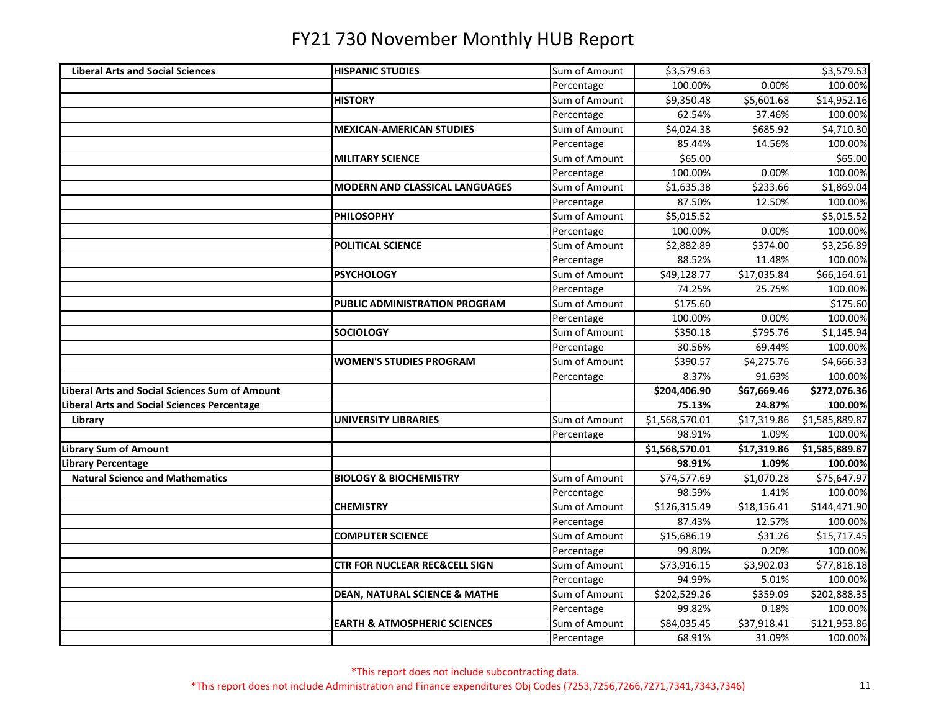| Sum of Amount<br>\$3,579.63<br><b>Liberal Arts and Social Sciences</b><br><b>HISPANIC STUDIES</b><br>\$3,579.63<br>100.00%<br>0.00%<br>100.00%<br>Percentage<br>Sum of Amount<br>\$9,350.48<br>\$5,601.68<br>\$14,952.16<br><b>HISTORY</b><br>62.54%<br>100.00%<br>Percentage<br>37.46%<br>\$685.92<br>\$4,710.30<br><b>MEXICAN-AMERICAN STUDIES</b><br>Sum of Amount<br>\$4,024.38<br>100.00%<br>Percentage<br>85.44%<br>14.56%<br>Sum of Amount<br>\$65.00<br>\$65.00<br><b>MILITARY SCIENCE</b><br>0.00%<br>Percentage<br>100.00%<br>100.00%<br>Sum of Amount<br><b>MODERN AND CLASSICAL LANGUAGES</b><br>\$1,635.38<br>\$233.66<br>\$1,869.04<br>87.50%<br>12.50%<br>100.00%<br>Percentage<br>Sum of Amount<br>\$5,015.52<br>\$5,015.52<br><b>PHILOSOPHY</b><br>100.00%<br>0.00%<br>100.00%<br>Percentage<br>\$3,256.89<br><b>POLITICAL SCIENCE</b><br>Sum of Amount<br>\$2,882.89<br>\$374.00<br>Percentage<br>88.52%<br>11.48%<br>100.00%<br>Sum of Amount<br>\$49,128.77<br>\$17,035.84<br>\$66,164.61<br><b>PSYCHOLOGY</b><br>74.25%<br>25.75%<br>100.00%<br>Percentage<br>\$175.60<br>PUBLIC ADMINISTRATION PROGRAM<br>Sum of Amount<br>\$175.60<br>100.00%<br>0.00%<br>100.00%<br>Percentage<br>Sum of Amount<br>\$795.76<br>\$1,145.94<br><b>SOCIOLOGY</b><br>\$350.18<br>100.00%<br>Percentage<br>30.56%<br>69.44%<br>Sum of Amount<br>\$390.57<br>\$4,275.76<br>\$4,666.33<br><b>WOMEN'S STUDIES PROGRAM</b><br>8.37%<br>91.63%<br>100.00%<br>Percentage<br><b>Liberal Arts and Social Sciences Sum of Amount</b><br>\$67,669.46<br>\$204,406.90<br>\$272,076.36<br>75.13%<br>Liberal Arts and Social Sciences Percentage<br>24.87%<br>100.00%<br>Sum of Amount<br>\$17,319.86<br>\$1,585,889.87<br>\$1,568,570.01<br>Library<br>UNIVERSITY LIBRARIES<br>100.00%<br>98.91%<br>1.09%<br>Percentage<br><b>Library Sum of Amount</b><br>\$1,568,570.01<br>\$17,319.86<br>\$1,585,889.87<br>98.91%<br>100.00%<br><b>Library Percentage</b><br>1.09%<br><b>Natural Science and Mathematics</b><br>Sum of Amount<br>\$74,577.69<br>\$1,070.28<br>\$75,647.97<br><b>BIOLOGY &amp; BIOCHEMISTRY</b><br>98.59%<br>1.41%<br>100.00%<br>Percentage<br>Sum of Amount<br>\$18,156.41<br>\$144,471.90<br>\$126,315.49<br><b>CHEMISTRY</b><br>87.43%<br>12.57%<br>100.00%<br>Percentage<br>\$31.26<br>\$15,717.45<br><b>COMPUTER SCIENCE</b><br>Sum of Amount<br>\$15,686.19<br>Percentage<br>99.80%<br>0.20%<br>100.00%<br>Sum of Amount<br>\$73,916.15<br>\$3,902.03<br>\$77,818.18<br><b>CTR FOR NUCLEAR REC&amp;CELL SIGN</b><br>94.99%<br>5.01%<br>100.00%<br>Percentage<br>Sum of Amount<br><b>DEAN, NATURAL SCIENCE &amp; MATHE</b><br>\$202,529.26<br>\$359.09<br>\$202,888.35<br>99.82%<br>0.18%<br>100.00%<br>Percentage<br>Sum of Amount<br>\$84,035.45<br>\$37,918.41<br>\$121,953.86<br><b>EARTH &amp; ATMOSPHERIC SCIENCES</b><br>68.91%<br>31.09%<br>100.00%<br>Percentage |  |  |  |
|-----------------------------------------------------------------------------------------------------------------------------------------------------------------------------------------------------------------------------------------------------------------------------------------------------------------------------------------------------------------------------------------------------------------------------------------------------------------------------------------------------------------------------------------------------------------------------------------------------------------------------------------------------------------------------------------------------------------------------------------------------------------------------------------------------------------------------------------------------------------------------------------------------------------------------------------------------------------------------------------------------------------------------------------------------------------------------------------------------------------------------------------------------------------------------------------------------------------------------------------------------------------------------------------------------------------------------------------------------------------------------------------------------------------------------------------------------------------------------------------------------------------------------------------------------------------------------------------------------------------------------------------------------------------------------------------------------------------------------------------------------------------------------------------------------------------------------------------------------------------------------------------------------------------------------------------------------------------------------------------------------------------------------------------------------------------------------------------------------------------------------------------------------------------------------------------------------------------------------------------------------------------------------------------------------------------------------------------------------------------------------------------------------------------------------------------------------------------------------------------------------------------------------------------------------------------------------------------------------------------------------------------------------------------------------------------------------------------------------------------------------------------------------------------------------------------------------------------------------------------------------------------|--|--|--|
|                                                                                                                                                                                                                                                                                                                                                                                                                                                                                                                                                                                                                                                                                                                                                                                                                                                                                                                                                                                                                                                                                                                                                                                                                                                                                                                                                                                                                                                                                                                                                                                                                                                                                                                                                                                                                                                                                                                                                                                                                                                                                                                                                                                                                                                                                                                                                                                                                                                                                                                                                                                                                                                                                                                                                                                                                                                                                         |  |  |  |
|                                                                                                                                                                                                                                                                                                                                                                                                                                                                                                                                                                                                                                                                                                                                                                                                                                                                                                                                                                                                                                                                                                                                                                                                                                                                                                                                                                                                                                                                                                                                                                                                                                                                                                                                                                                                                                                                                                                                                                                                                                                                                                                                                                                                                                                                                                                                                                                                                                                                                                                                                                                                                                                                                                                                                                                                                                                                                         |  |  |  |
|                                                                                                                                                                                                                                                                                                                                                                                                                                                                                                                                                                                                                                                                                                                                                                                                                                                                                                                                                                                                                                                                                                                                                                                                                                                                                                                                                                                                                                                                                                                                                                                                                                                                                                                                                                                                                                                                                                                                                                                                                                                                                                                                                                                                                                                                                                                                                                                                                                                                                                                                                                                                                                                                                                                                                                                                                                                                                         |  |  |  |
|                                                                                                                                                                                                                                                                                                                                                                                                                                                                                                                                                                                                                                                                                                                                                                                                                                                                                                                                                                                                                                                                                                                                                                                                                                                                                                                                                                                                                                                                                                                                                                                                                                                                                                                                                                                                                                                                                                                                                                                                                                                                                                                                                                                                                                                                                                                                                                                                                                                                                                                                                                                                                                                                                                                                                                                                                                                                                         |  |  |  |
|                                                                                                                                                                                                                                                                                                                                                                                                                                                                                                                                                                                                                                                                                                                                                                                                                                                                                                                                                                                                                                                                                                                                                                                                                                                                                                                                                                                                                                                                                                                                                                                                                                                                                                                                                                                                                                                                                                                                                                                                                                                                                                                                                                                                                                                                                                                                                                                                                                                                                                                                                                                                                                                                                                                                                                                                                                                                                         |  |  |  |
|                                                                                                                                                                                                                                                                                                                                                                                                                                                                                                                                                                                                                                                                                                                                                                                                                                                                                                                                                                                                                                                                                                                                                                                                                                                                                                                                                                                                                                                                                                                                                                                                                                                                                                                                                                                                                                                                                                                                                                                                                                                                                                                                                                                                                                                                                                                                                                                                                                                                                                                                                                                                                                                                                                                                                                                                                                                                                         |  |  |  |
|                                                                                                                                                                                                                                                                                                                                                                                                                                                                                                                                                                                                                                                                                                                                                                                                                                                                                                                                                                                                                                                                                                                                                                                                                                                                                                                                                                                                                                                                                                                                                                                                                                                                                                                                                                                                                                                                                                                                                                                                                                                                                                                                                                                                                                                                                                                                                                                                                                                                                                                                                                                                                                                                                                                                                                                                                                                                                         |  |  |  |
|                                                                                                                                                                                                                                                                                                                                                                                                                                                                                                                                                                                                                                                                                                                                                                                                                                                                                                                                                                                                                                                                                                                                                                                                                                                                                                                                                                                                                                                                                                                                                                                                                                                                                                                                                                                                                                                                                                                                                                                                                                                                                                                                                                                                                                                                                                                                                                                                                                                                                                                                                                                                                                                                                                                                                                                                                                                                                         |  |  |  |
|                                                                                                                                                                                                                                                                                                                                                                                                                                                                                                                                                                                                                                                                                                                                                                                                                                                                                                                                                                                                                                                                                                                                                                                                                                                                                                                                                                                                                                                                                                                                                                                                                                                                                                                                                                                                                                                                                                                                                                                                                                                                                                                                                                                                                                                                                                                                                                                                                                                                                                                                                                                                                                                                                                                                                                                                                                                                                         |  |  |  |
|                                                                                                                                                                                                                                                                                                                                                                                                                                                                                                                                                                                                                                                                                                                                                                                                                                                                                                                                                                                                                                                                                                                                                                                                                                                                                                                                                                                                                                                                                                                                                                                                                                                                                                                                                                                                                                                                                                                                                                                                                                                                                                                                                                                                                                                                                                                                                                                                                                                                                                                                                                                                                                                                                                                                                                                                                                                                                         |  |  |  |
|                                                                                                                                                                                                                                                                                                                                                                                                                                                                                                                                                                                                                                                                                                                                                                                                                                                                                                                                                                                                                                                                                                                                                                                                                                                                                                                                                                                                                                                                                                                                                                                                                                                                                                                                                                                                                                                                                                                                                                                                                                                                                                                                                                                                                                                                                                                                                                                                                                                                                                                                                                                                                                                                                                                                                                                                                                                                                         |  |  |  |
|                                                                                                                                                                                                                                                                                                                                                                                                                                                                                                                                                                                                                                                                                                                                                                                                                                                                                                                                                                                                                                                                                                                                                                                                                                                                                                                                                                                                                                                                                                                                                                                                                                                                                                                                                                                                                                                                                                                                                                                                                                                                                                                                                                                                                                                                                                                                                                                                                                                                                                                                                                                                                                                                                                                                                                                                                                                                                         |  |  |  |
|                                                                                                                                                                                                                                                                                                                                                                                                                                                                                                                                                                                                                                                                                                                                                                                                                                                                                                                                                                                                                                                                                                                                                                                                                                                                                                                                                                                                                                                                                                                                                                                                                                                                                                                                                                                                                                                                                                                                                                                                                                                                                                                                                                                                                                                                                                                                                                                                                                                                                                                                                                                                                                                                                                                                                                                                                                                                                         |  |  |  |
|                                                                                                                                                                                                                                                                                                                                                                                                                                                                                                                                                                                                                                                                                                                                                                                                                                                                                                                                                                                                                                                                                                                                                                                                                                                                                                                                                                                                                                                                                                                                                                                                                                                                                                                                                                                                                                                                                                                                                                                                                                                                                                                                                                                                                                                                                                                                                                                                                                                                                                                                                                                                                                                                                                                                                                                                                                                                                         |  |  |  |
|                                                                                                                                                                                                                                                                                                                                                                                                                                                                                                                                                                                                                                                                                                                                                                                                                                                                                                                                                                                                                                                                                                                                                                                                                                                                                                                                                                                                                                                                                                                                                                                                                                                                                                                                                                                                                                                                                                                                                                                                                                                                                                                                                                                                                                                                                                                                                                                                                                                                                                                                                                                                                                                                                                                                                                                                                                                                                         |  |  |  |
|                                                                                                                                                                                                                                                                                                                                                                                                                                                                                                                                                                                                                                                                                                                                                                                                                                                                                                                                                                                                                                                                                                                                                                                                                                                                                                                                                                                                                                                                                                                                                                                                                                                                                                                                                                                                                                                                                                                                                                                                                                                                                                                                                                                                                                                                                                                                                                                                                                                                                                                                                                                                                                                                                                                                                                                                                                                                                         |  |  |  |
|                                                                                                                                                                                                                                                                                                                                                                                                                                                                                                                                                                                                                                                                                                                                                                                                                                                                                                                                                                                                                                                                                                                                                                                                                                                                                                                                                                                                                                                                                                                                                                                                                                                                                                                                                                                                                                                                                                                                                                                                                                                                                                                                                                                                                                                                                                                                                                                                                                                                                                                                                                                                                                                                                                                                                                                                                                                                                         |  |  |  |
|                                                                                                                                                                                                                                                                                                                                                                                                                                                                                                                                                                                                                                                                                                                                                                                                                                                                                                                                                                                                                                                                                                                                                                                                                                                                                                                                                                                                                                                                                                                                                                                                                                                                                                                                                                                                                                                                                                                                                                                                                                                                                                                                                                                                                                                                                                                                                                                                                                                                                                                                                                                                                                                                                                                                                                                                                                                                                         |  |  |  |
|                                                                                                                                                                                                                                                                                                                                                                                                                                                                                                                                                                                                                                                                                                                                                                                                                                                                                                                                                                                                                                                                                                                                                                                                                                                                                                                                                                                                                                                                                                                                                                                                                                                                                                                                                                                                                                                                                                                                                                                                                                                                                                                                                                                                                                                                                                                                                                                                                                                                                                                                                                                                                                                                                                                                                                                                                                                                                         |  |  |  |
|                                                                                                                                                                                                                                                                                                                                                                                                                                                                                                                                                                                                                                                                                                                                                                                                                                                                                                                                                                                                                                                                                                                                                                                                                                                                                                                                                                                                                                                                                                                                                                                                                                                                                                                                                                                                                                                                                                                                                                                                                                                                                                                                                                                                                                                                                                                                                                                                                                                                                                                                                                                                                                                                                                                                                                                                                                                                                         |  |  |  |
|                                                                                                                                                                                                                                                                                                                                                                                                                                                                                                                                                                                                                                                                                                                                                                                                                                                                                                                                                                                                                                                                                                                                                                                                                                                                                                                                                                                                                                                                                                                                                                                                                                                                                                                                                                                                                                                                                                                                                                                                                                                                                                                                                                                                                                                                                                                                                                                                                                                                                                                                                                                                                                                                                                                                                                                                                                                                                         |  |  |  |
|                                                                                                                                                                                                                                                                                                                                                                                                                                                                                                                                                                                                                                                                                                                                                                                                                                                                                                                                                                                                                                                                                                                                                                                                                                                                                                                                                                                                                                                                                                                                                                                                                                                                                                                                                                                                                                                                                                                                                                                                                                                                                                                                                                                                                                                                                                                                                                                                                                                                                                                                                                                                                                                                                                                                                                                                                                                                                         |  |  |  |
|                                                                                                                                                                                                                                                                                                                                                                                                                                                                                                                                                                                                                                                                                                                                                                                                                                                                                                                                                                                                                                                                                                                                                                                                                                                                                                                                                                                                                                                                                                                                                                                                                                                                                                                                                                                                                                                                                                                                                                                                                                                                                                                                                                                                                                                                                                                                                                                                                                                                                                                                                                                                                                                                                                                                                                                                                                                                                         |  |  |  |
|                                                                                                                                                                                                                                                                                                                                                                                                                                                                                                                                                                                                                                                                                                                                                                                                                                                                                                                                                                                                                                                                                                                                                                                                                                                                                                                                                                                                                                                                                                                                                                                                                                                                                                                                                                                                                                                                                                                                                                                                                                                                                                                                                                                                                                                                                                                                                                                                                                                                                                                                                                                                                                                                                                                                                                                                                                                                                         |  |  |  |
|                                                                                                                                                                                                                                                                                                                                                                                                                                                                                                                                                                                                                                                                                                                                                                                                                                                                                                                                                                                                                                                                                                                                                                                                                                                                                                                                                                                                                                                                                                                                                                                                                                                                                                                                                                                                                                                                                                                                                                                                                                                                                                                                                                                                                                                                                                                                                                                                                                                                                                                                                                                                                                                                                                                                                                                                                                                                                         |  |  |  |
|                                                                                                                                                                                                                                                                                                                                                                                                                                                                                                                                                                                                                                                                                                                                                                                                                                                                                                                                                                                                                                                                                                                                                                                                                                                                                                                                                                                                                                                                                                                                                                                                                                                                                                                                                                                                                                                                                                                                                                                                                                                                                                                                                                                                                                                                                                                                                                                                                                                                                                                                                                                                                                                                                                                                                                                                                                                                                         |  |  |  |
|                                                                                                                                                                                                                                                                                                                                                                                                                                                                                                                                                                                                                                                                                                                                                                                                                                                                                                                                                                                                                                                                                                                                                                                                                                                                                                                                                                                                                                                                                                                                                                                                                                                                                                                                                                                                                                                                                                                                                                                                                                                                                                                                                                                                                                                                                                                                                                                                                                                                                                                                                                                                                                                                                                                                                                                                                                                                                         |  |  |  |
|                                                                                                                                                                                                                                                                                                                                                                                                                                                                                                                                                                                                                                                                                                                                                                                                                                                                                                                                                                                                                                                                                                                                                                                                                                                                                                                                                                                                                                                                                                                                                                                                                                                                                                                                                                                                                                                                                                                                                                                                                                                                                                                                                                                                                                                                                                                                                                                                                                                                                                                                                                                                                                                                                                                                                                                                                                                                                         |  |  |  |
|                                                                                                                                                                                                                                                                                                                                                                                                                                                                                                                                                                                                                                                                                                                                                                                                                                                                                                                                                                                                                                                                                                                                                                                                                                                                                                                                                                                                                                                                                                                                                                                                                                                                                                                                                                                                                                                                                                                                                                                                                                                                                                                                                                                                                                                                                                                                                                                                                                                                                                                                                                                                                                                                                                                                                                                                                                                                                         |  |  |  |
|                                                                                                                                                                                                                                                                                                                                                                                                                                                                                                                                                                                                                                                                                                                                                                                                                                                                                                                                                                                                                                                                                                                                                                                                                                                                                                                                                                                                                                                                                                                                                                                                                                                                                                                                                                                                                                                                                                                                                                                                                                                                                                                                                                                                                                                                                                                                                                                                                                                                                                                                                                                                                                                                                                                                                                                                                                                                                         |  |  |  |
|                                                                                                                                                                                                                                                                                                                                                                                                                                                                                                                                                                                                                                                                                                                                                                                                                                                                                                                                                                                                                                                                                                                                                                                                                                                                                                                                                                                                                                                                                                                                                                                                                                                                                                                                                                                                                                                                                                                                                                                                                                                                                                                                                                                                                                                                                                                                                                                                                                                                                                                                                                                                                                                                                                                                                                                                                                                                                         |  |  |  |
|                                                                                                                                                                                                                                                                                                                                                                                                                                                                                                                                                                                                                                                                                                                                                                                                                                                                                                                                                                                                                                                                                                                                                                                                                                                                                                                                                                                                                                                                                                                                                                                                                                                                                                                                                                                                                                                                                                                                                                                                                                                                                                                                                                                                                                                                                                                                                                                                                                                                                                                                                                                                                                                                                                                                                                                                                                                                                         |  |  |  |
|                                                                                                                                                                                                                                                                                                                                                                                                                                                                                                                                                                                                                                                                                                                                                                                                                                                                                                                                                                                                                                                                                                                                                                                                                                                                                                                                                                                                                                                                                                                                                                                                                                                                                                                                                                                                                                                                                                                                                                                                                                                                                                                                                                                                                                                                                                                                                                                                                                                                                                                                                                                                                                                                                                                                                                                                                                                                                         |  |  |  |
|                                                                                                                                                                                                                                                                                                                                                                                                                                                                                                                                                                                                                                                                                                                                                                                                                                                                                                                                                                                                                                                                                                                                                                                                                                                                                                                                                                                                                                                                                                                                                                                                                                                                                                                                                                                                                                                                                                                                                                                                                                                                                                                                                                                                                                                                                                                                                                                                                                                                                                                                                                                                                                                                                                                                                                                                                                                                                         |  |  |  |
|                                                                                                                                                                                                                                                                                                                                                                                                                                                                                                                                                                                                                                                                                                                                                                                                                                                                                                                                                                                                                                                                                                                                                                                                                                                                                                                                                                                                                                                                                                                                                                                                                                                                                                                                                                                                                                                                                                                                                                                                                                                                                                                                                                                                                                                                                                                                                                                                                                                                                                                                                                                                                                                                                                                                                                                                                                                                                         |  |  |  |
|                                                                                                                                                                                                                                                                                                                                                                                                                                                                                                                                                                                                                                                                                                                                                                                                                                                                                                                                                                                                                                                                                                                                                                                                                                                                                                                                                                                                                                                                                                                                                                                                                                                                                                                                                                                                                                                                                                                                                                                                                                                                                                                                                                                                                                                                                                                                                                                                                                                                                                                                                                                                                                                                                                                                                                                                                                                                                         |  |  |  |
|                                                                                                                                                                                                                                                                                                                                                                                                                                                                                                                                                                                                                                                                                                                                                                                                                                                                                                                                                                                                                                                                                                                                                                                                                                                                                                                                                                                                                                                                                                                                                                                                                                                                                                                                                                                                                                                                                                                                                                                                                                                                                                                                                                                                                                                                                                                                                                                                                                                                                                                                                                                                                                                                                                                                                                                                                                                                                         |  |  |  |
|                                                                                                                                                                                                                                                                                                                                                                                                                                                                                                                                                                                                                                                                                                                                                                                                                                                                                                                                                                                                                                                                                                                                                                                                                                                                                                                                                                                                                                                                                                                                                                                                                                                                                                                                                                                                                                                                                                                                                                                                                                                                                                                                                                                                                                                                                                                                                                                                                                                                                                                                                                                                                                                                                                                                                                                                                                                                                         |  |  |  |
|                                                                                                                                                                                                                                                                                                                                                                                                                                                                                                                                                                                                                                                                                                                                                                                                                                                                                                                                                                                                                                                                                                                                                                                                                                                                                                                                                                                                                                                                                                                                                                                                                                                                                                                                                                                                                                                                                                                                                                                                                                                                                                                                                                                                                                                                                                                                                                                                                                                                                                                                                                                                                                                                                                                                                                                                                                                                                         |  |  |  |
|                                                                                                                                                                                                                                                                                                                                                                                                                                                                                                                                                                                                                                                                                                                                                                                                                                                                                                                                                                                                                                                                                                                                                                                                                                                                                                                                                                                                                                                                                                                                                                                                                                                                                                                                                                                                                                                                                                                                                                                                                                                                                                                                                                                                                                                                                                                                                                                                                                                                                                                                                                                                                                                                                                                                                                                                                                                                                         |  |  |  |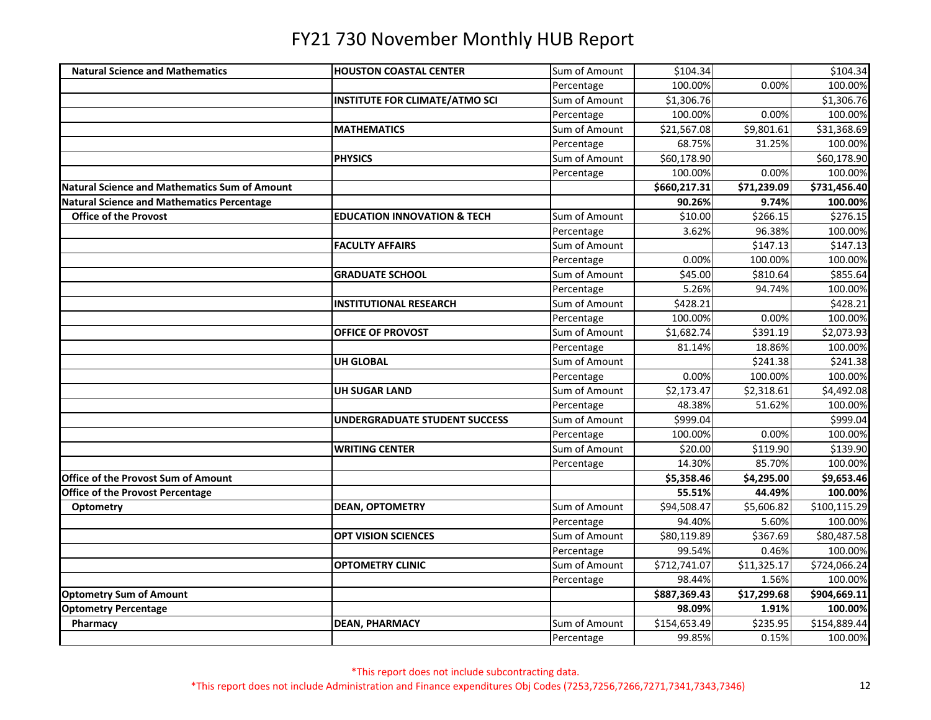| <b>Natural Science and Mathematics</b>               | <b>HOUSTON COASTAL CENTER</b>          | Sum of Amount | \$104.34     |             | \$104.34             |
|------------------------------------------------------|----------------------------------------|---------------|--------------|-------------|----------------------|
|                                                      |                                        | Percentage    | 100.00%      | 0.00%       | 100.00%              |
|                                                      | <b>INSTITUTE FOR CLIMATE/ATMO SCI</b>  | Sum of Amount | \$1,306.76   |             | \$1,306.76           |
|                                                      |                                        | Percentage    | 100.00%      | 0.00%       | 100.00%              |
|                                                      | <b>MATHEMATICS</b>                     | Sum of Amount | \$21,567.08  | \$9,801.61  | \$31,368.69          |
|                                                      |                                        | Percentage    | 68.75%       | 31.25%      | 100.00%              |
|                                                      | <b>PHYSICS</b>                         | Sum of Amount | \$60,178.90  |             | \$60,178.90          |
|                                                      |                                        | Percentage    | 100.00%      | 0.00%       | 100.00%              |
| <b>Natural Science and Mathematics Sum of Amount</b> |                                        |               | \$660,217.31 | \$71,239.09 | \$731,456.40         |
| Natural Science and Mathematics Percentage           |                                        |               | 90.26%       | 9.74%       | 100.00%              |
| <b>Office of the Provost</b>                         | <b>EDUCATION INNOVATION &amp; TECH</b> | Sum of Amount | \$10.00      | \$266.15    | $\overline{$}276.15$ |
|                                                      |                                        | Percentage    | 3.62%        | 96.38%      | 100.00%              |
|                                                      | <b>FACULTY AFFAIRS</b>                 | Sum of Amount |              | \$147.13    | \$147.13             |
|                                                      |                                        | Percentage    | 0.00%        | 100.00%     | 100.00%              |
|                                                      | <b>GRADUATE SCHOOL</b>                 | Sum of Amount | \$45.00      | \$810.64    | \$855.64             |
|                                                      |                                        | Percentage    | 5.26%        | 94.74%      | 100.00%              |
|                                                      | <b>INSTITUTIONAL RESEARCH</b>          | Sum of Amount | \$428.21     |             | \$428.21             |
|                                                      |                                        | Percentage    | 100.00%      | 0.00%       | 100.00%              |
|                                                      | OFFICE OF PROVOST                      | Sum of Amount | \$1,682.74   | \$391.19    | \$2,073.93           |
|                                                      |                                        | Percentage    | 81.14%       | 18.86%      | 100.00%              |
|                                                      | <b>UH GLOBAL</b>                       | Sum of Amount |              | \$241.38    | \$241.38             |
|                                                      |                                        | Percentage    | 0.00%        | 100.00%     | 100.00%              |
|                                                      | <b>UH SUGAR LAND</b>                   | Sum of Amount | \$2,173.47   | \$2,318.61  | \$4,492.08           |
|                                                      |                                        | Percentage    | 48.38%       | 51.62%      | 100.00%              |
|                                                      | <b>UNDERGRADUATE STUDENT SUCCESS</b>   | Sum of Amount | \$999.04     |             | \$999.04             |
|                                                      |                                        | Percentage    | 100.00%      | 0.00%       | 100.00%              |
|                                                      | <b>WRITING CENTER</b>                  | Sum of Amount | \$20.00      | \$119.90    | \$139.90             |
|                                                      |                                        | Percentage    | 14.30%       | 85.70%      | 100.00%              |
| Office of the Provost Sum of Amount                  |                                        |               | \$5,358.46   | \$4,295.00  | \$9,653.46           |
| Office of the Provost Percentage                     |                                        |               | 55.51%       | 44.49%      | 100.00%              |
| Optometry                                            | <b>DEAN, OPTOMETRY</b>                 | Sum of Amount | \$94,508.47  | \$5,606.82  | \$100,115.29         |
|                                                      |                                        | Percentage    | 94.40%       | 5.60%       | 100.00%              |
|                                                      | <b>OPT VISION SCIENCES</b>             | Sum of Amount | \$80,119.89  | \$367.69    | \$80,487.58          |
|                                                      |                                        | Percentage    | 99.54%       | 0.46%       | 100.00%              |
|                                                      | <b>OPTOMETRY CLINIC</b>                | Sum of Amount | \$712,741.07 | \$11,325.17 | \$724,066.24         |
|                                                      |                                        | Percentage    | 98.44%       | 1.56%       | 100.00%              |
| <b>Optometry Sum of Amount</b>                       |                                        |               | \$887,369.43 | \$17,299.68 | \$904,669.11         |
| <b>Optometry Percentage</b>                          |                                        |               | 98.09%       | 1.91%       | 100.00%              |
| Pharmacy                                             | <b>DEAN, PHARMACY</b>                  | Sum of Amount | \$154,653.49 | \$235.95    | \$154,889.44         |
|                                                      |                                        | Percentage    | 99.85%       | 0.15%       | 100.00%              |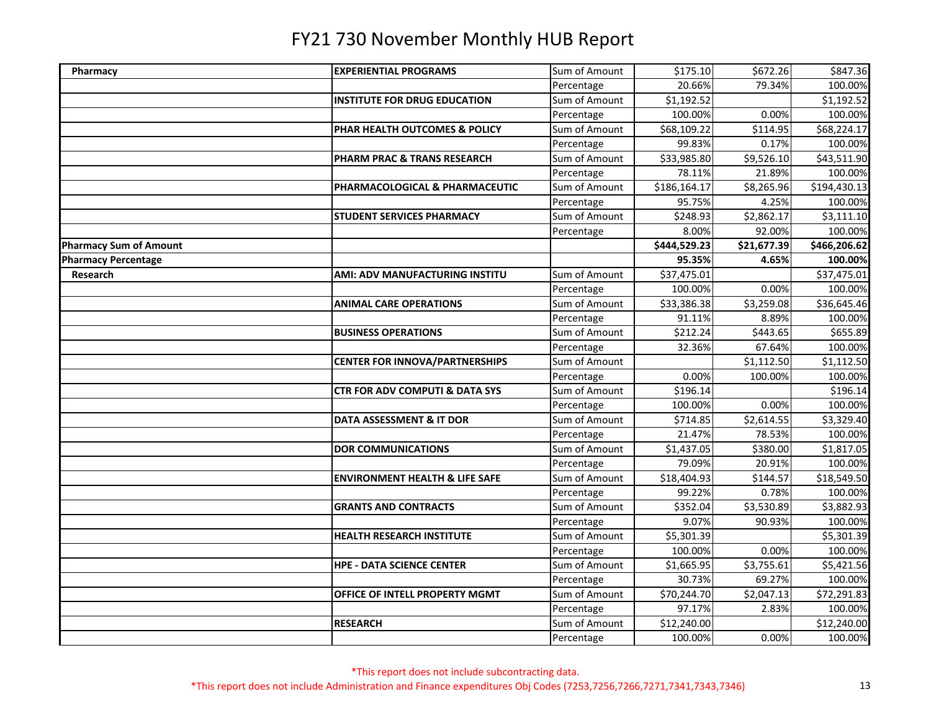| Pharmacy                      | <b>EXPERIENTIAL PROGRAMS</b>              | Sum of Amount               | \$175.10<br>20.66% | \$672.26<br>79.34% | \$847.36              |
|-------------------------------|-------------------------------------------|-----------------------------|--------------------|--------------------|-----------------------|
|                               | <b>INSTITUTE FOR DRUG EDUCATION</b>       | Percentage<br>Sum of Amount | \$1,192.52         |                    | 100.00%<br>\$1,192.52 |
|                               |                                           |                             | 100.00%            | 0.00%              | 100.00%               |
|                               |                                           | Percentage                  |                    |                    |                       |
|                               | PHAR HEALTH OUTCOMES & POLICY             | Sum of Amount               | \$68,109.22        | \$114.95           | \$68,224.17           |
|                               |                                           | Percentage                  | 99.83%             | 0.17%              | 100.00%               |
|                               | PHARM PRAC & TRANS RESEARCH               | Sum of Amount               | \$33,985.80        | \$9,526.10         | \$43,511.90           |
|                               |                                           | Percentage                  | 78.11%             | 21.89%             | 100.00%               |
|                               | PHARMACOLOGICAL & PHARMACEUTIC            | Sum of Amount               | \$186,164.17       | \$8,265.96         | \$194,430.13          |
|                               |                                           | Percentage                  | 95.75%             | 4.25%              | 100.00%               |
|                               | STUDENT SERVICES PHARMACY                 | Sum of Amount               | \$248.93           | \$2,862.17         | \$3,111.10            |
|                               |                                           | Percentage                  | 8.00%              | 92.00%             | 100.00%               |
| <b>Pharmacy Sum of Amount</b> |                                           |                             | \$444,529.23       | \$21,677.39        | \$466,206.62          |
| <b>Pharmacy Percentage</b>    |                                           |                             | 95.35%             | 4.65%              | 100.00%               |
| Research                      | AMI: ADV MANUFACTURING INSTITU            | Sum of Amount               | \$37,475.01        |                    | \$37,475.01           |
|                               |                                           | Percentage                  | 100.00%            | 0.00%              | 100.00%               |
|                               | <b>ANIMAL CARE OPERATIONS</b>             | Sum of Amount               | \$33,386.38        | \$3,259.08         | \$36,645.46           |
|                               |                                           | Percentage                  | 91.11%             | 8.89%              | 100.00%               |
|                               | <b>BUSINESS OPERATIONS</b>                | Sum of Amount               | \$212.24           | \$443.65           | \$655.89              |
|                               |                                           | Percentage                  | 32.36%             | 67.64%             | 100.00%               |
|                               | <b>CENTER FOR INNOVA/PARTNERSHIPS</b>     | Sum of Amount               |                    | \$1,112.50         | \$1,112.50            |
|                               |                                           | Percentage                  | 0.00%              | 100.00%            | 100.00%               |
|                               | <b>CTR FOR ADV COMPUTI &amp; DATA SYS</b> | Sum of Amount               | \$196.14           |                    | \$196.14              |
|                               |                                           | Percentage                  | 100.00%            | 0.00%              | 100.00%               |
|                               | DATA ASSESSMENT & IT DOR                  | Sum of Amount               | \$714.85           | \$2,614.55         | \$3,329.40            |
|                               |                                           | Percentage                  | 21.47%             | 78.53%             | 100.00%               |
|                               | <b>DOR COMMUNICATIONS</b>                 | Sum of Amount               | \$1,437.05         | \$380.00           | \$1,817.05            |
|                               |                                           | Percentage                  | 79.09%             | 20.91%             | 100.00%               |
|                               | <b>ENVIRONMENT HEALTH &amp; LIFE SAFE</b> | Sum of Amount               | \$18,404.93        | \$144.57           | \$18,549.50           |
|                               |                                           | Percentage                  | 99.22%             | 0.78%              | 100.00%               |
|                               | <b>GRANTS AND CONTRACTS</b>               | Sum of Amount               | \$352.04           | \$3,530.89         | \$3,882.93            |
|                               |                                           | Percentage                  | 9.07%              | 90.93%             | 100.00%               |
|                               | <b>HEALTH RESEARCH INSTITUTE</b>          | Sum of Amount               | \$5,301.39         |                    | \$5,301.39            |
|                               |                                           | Percentage                  | 100.00%            | 0.00%              | 100.00%               |
|                               | <b>HPE - DATA SCIENCE CENTER</b>          | Sum of Amount               | \$1,665.95         | \$3,755.61         | \$5,421.56            |
|                               |                                           | Percentage                  | 30.73%             | 69.27%             | 100.00%               |
|                               | OFFICE OF INTELL PROPERTY MGMT            | Sum of Amount               | \$70,244.70        | \$2,047.13         | \$72,291.83           |
|                               |                                           | Percentage                  | 97.17%             | 2.83%              | 100.00%               |
|                               | <b>RESEARCH</b>                           | Sum of Amount               | \$12,240.00        |                    | \$12,240.00           |
|                               |                                           | Percentage                  | 100.00%            | 0.00%              | 100.00%               |
|                               |                                           |                             |                    |                    |                       |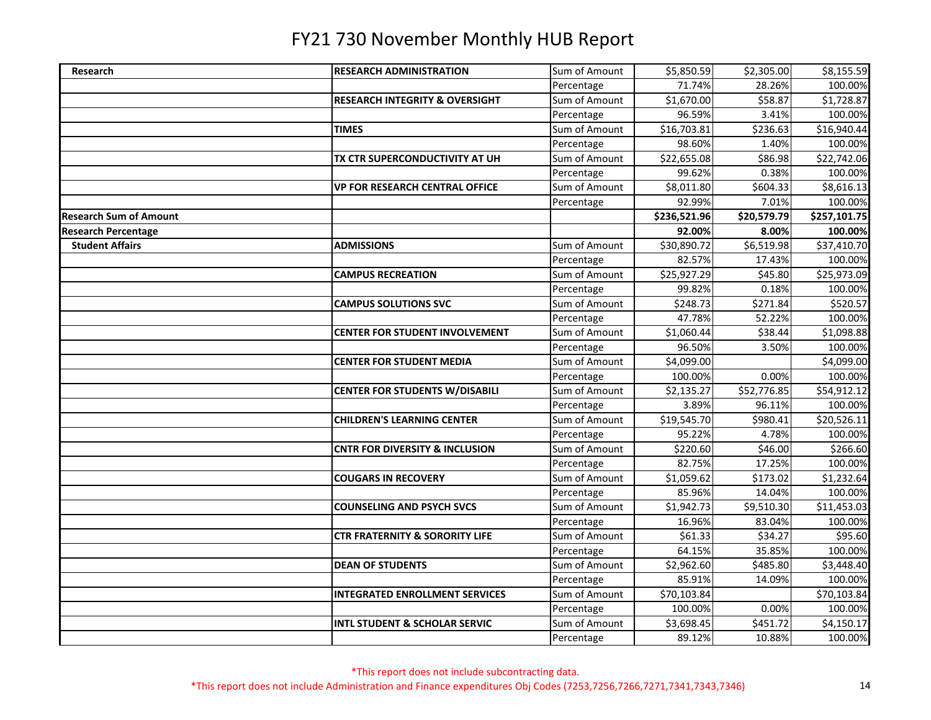| Research                      | <b>RESEARCH ADMINISTRATION</b>            | Sum of Amount | \$5,850.59   | \$2,305.00  | \$8,155.59   |
|-------------------------------|-------------------------------------------|---------------|--------------|-------------|--------------|
|                               |                                           | Percentage    | 71.74%       | 28.26%      | 100.00%      |
|                               | <b>RESEARCH INTEGRITY &amp; OVERSIGHT</b> | Sum of Amount | \$1,670.00   | \$58.87     | \$1,728.87   |
|                               |                                           | Percentage    | 96.59%       | 3.41%       | 100.00%      |
|                               | <b>TIMES</b>                              | Sum of Amount | \$16,703.81  | \$236.63    | \$16,940.44  |
|                               |                                           | Percentage    | 98.60%       | 1.40%       | 100.00%      |
|                               | TX CTR SUPERCONDUCTIVITY AT UH            | Sum of Amount | \$22,655.08  | \$86.98     | \$22,742.06  |
|                               |                                           | Percentage    | 99.62%       | 0.38%       | 100.00%      |
|                               | <b>VP FOR RESEARCH CENTRAL OFFICE</b>     | Sum of Amount | \$8,011.80   | \$604.33    | \$8,616.13   |
|                               |                                           | Percentage    | 92.99%       | 7.01%       | 100.00%      |
| <b>Research Sum of Amount</b> |                                           |               | \$236,521.96 | \$20,579.79 | \$257,101.75 |
| <b>Research Percentage</b>    |                                           |               | 92.00%       | 8.00%       | 100.00%      |
| <b>Student Affairs</b>        | <b>ADMISSIONS</b>                         | Sum of Amount | \$30,890.72  | \$6,519.98  | \$37,410.70  |
|                               |                                           | Percentage    | 82.57%       | 17.43%      | 100.00%      |
|                               | <b>CAMPUS RECREATION</b>                  | Sum of Amount | \$25,927.29  | \$45.80     | \$25,973.09  |
|                               |                                           | Percentage    | 99.82%       | 0.18%       | 100.00%      |
|                               | <b>CAMPUS SOLUTIONS SVC</b>               | Sum of Amount | \$248.73     | \$271.84    | \$520.57     |
|                               |                                           | Percentage    | 47.78%       | 52.22%      | 100.00%      |
|                               | <b>CENTER FOR STUDENT INVOLVEMENT</b>     | Sum of Amount | \$1,060.44   | \$38.44     | \$1,098.88   |
|                               |                                           | Percentage    | 96.50%       | 3.50%       | 100.00%      |
|                               | <b>CENTER FOR STUDENT MEDIA</b>           | Sum of Amount | \$4,099.00   |             | \$4,099.00   |
|                               |                                           | Percentage    | 100.00%      | 0.00%       | 100.00%      |
|                               | <b>CENTER FOR STUDENTS W/DISABILI</b>     | Sum of Amount | \$2,135.27   | \$52,776.85 | \$54,912.12  |
|                               |                                           | Percentage    | 3.89%        | 96.11%      | 100.00%      |
|                               | <b>CHILDREN'S LEARNING CENTER</b>         | Sum of Amount | \$19,545.70  | \$980.41    | \$20,526.11  |
|                               |                                           | Percentage    | 95.22%       | 4.78%       | 100.00%      |
|                               | <b>CNTR FOR DIVERSITY &amp; INCLUSION</b> | Sum of Amount | \$220.60     | \$46.00     | \$266.60     |
|                               |                                           | Percentage    | 82.75%       | 17.25%      | 100.00%      |
|                               | <b>COUGARS IN RECOVERY</b>                | Sum of Amount | \$1,059.62   | \$173.02    | \$1,232.64   |
|                               |                                           | Percentage    | 85.96%       | 14.04%      | 100.00%      |
|                               | <b>COUNSELING AND PSYCH SVCS</b>          | Sum of Amount | \$1,942.73   | \$9,510.30  | \$11,453.03  |
|                               |                                           | Percentage    | 16.96%       | 83.04%      | 100.00%      |
|                               | <b>CTR FRATERNITY &amp; SORORITY LIFE</b> | Sum of Amount | \$61.33      | \$34.27     | \$95.60      |
|                               |                                           | Percentage    | 64.15%       | 35.85%      | 100.00%      |
|                               | <b>DEAN OF STUDENTS</b>                   | Sum of Amount | \$2,962.60   | \$485.80    | \$3,448.40   |
|                               |                                           | Percentage    | 85.91%       | 14.09%      | 100.00%      |
|                               | <b>INTEGRATED ENROLLMENT SERVICES</b>     | Sum of Amount | \$70,103.84  |             | \$70,103.84  |
|                               |                                           | Percentage    | 100.00%      | 0.00%       | 100.00%      |
|                               | <b>INTL STUDENT &amp; SCHOLAR SERVIC</b>  | Sum of Amount | \$3,698.45   | \$451.72    | \$4,150.17   |
|                               |                                           | Percentage    | 89.12%       | 10.88%      | 100.00%      |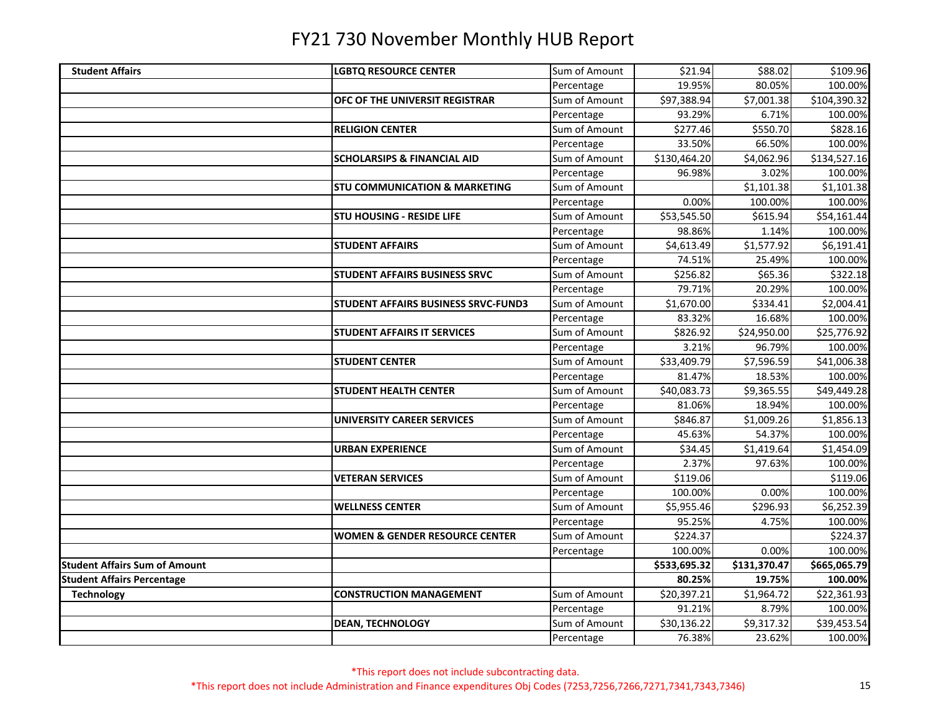| <b>Student Affairs</b>               | <b>LGBTQ RESOURCE CENTER</b>              | Sum of Amount | \$21.94      | \$88.02      | \$109.96     |
|--------------------------------------|-------------------------------------------|---------------|--------------|--------------|--------------|
|                                      |                                           | Percentage    | 19.95%       | 80.05%       | 100.00%      |
|                                      | OFC OF THE UNIVERSIT REGISTRAR            | Sum of Amount | \$97,388.94  | \$7,001.38   | \$104,390.32 |
|                                      |                                           | Percentage    | 93.29%       | 6.71%        | 100.00%      |
|                                      | <b>RELIGION CENTER</b>                    | Sum of Amount | \$277.46     | \$550.70     | \$828.16     |
|                                      |                                           | Percentage    | 33.50%       | 66.50%       | 100.00%      |
|                                      | <b>SCHOLARSIPS &amp; FINANCIAL AID</b>    | Sum of Amount | \$130,464.20 | \$4,062.96   | \$134,527.16 |
|                                      |                                           | Percentage    | 96.98%       | 3.02%        | 100.00%      |
|                                      | <b>STU COMMUNICATION &amp; MARKETING</b>  | Sum of Amount |              | \$1,101.38   | \$1,101.38   |
|                                      |                                           | Percentage    | 0.00%        | 100.00%      | 100.00%      |
|                                      | <b>STU HOUSING - RESIDE LIFE</b>          | Sum of Amount | \$53,545.50  | \$615.94     | \$54,161.44  |
|                                      |                                           | Percentage    | 98.86%       | 1.14%        | 100.00%      |
|                                      | <b>STUDENT AFFAIRS</b>                    | Sum of Amount | \$4,613.49   | \$1,577.92   | \$6,191.41   |
|                                      |                                           | Percentage    | 74.51%       | 25.49%       | 100.00%      |
|                                      | <b>STUDENT AFFAIRS BUSINESS SRVC</b>      | Sum of Amount | \$256.82     | \$65.36      | \$322.18     |
|                                      |                                           | Percentage    | 79.71%       | 20.29%       | 100.00%      |
|                                      | STUDENT AFFAIRS BUSINESS SRVC-FUND3       | Sum of Amount | \$1,670.00   | \$334.41     | \$2,004.41   |
|                                      |                                           | Percentage    | 83.32%       | 16.68%       | 100.00%      |
|                                      | <b>STUDENT AFFAIRS IT SERVICES</b>        | Sum of Amount | \$826.92     | \$24,950.00  | \$25,776.92  |
|                                      |                                           | Percentage    | 3.21%        | 96.79%       | 100.00%      |
|                                      | <b>STUDENT CENTER</b>                     | Sum of Amount | \$33,409.79  | \$7,596.59   | \$41,006.38  |
|                                      |                                           | Percentage    | 81.47%       | 18.53%       | 100.00%      |
|                                      | <b>STUDENT HEALTH CENTER</b>              | Sum of Amount | \$40,083.73  | \$9,365.55   | \$49,449.28  |
|                                      |                                           | Percentage    | 81.06%       | 18.94%       | 100.00%      |
|                                      | <b>UNIVERSITY CAREER SERVICES</b>         | Sum of Amount | \$846.87     | \$1,009.26   | \$1,856.13   |
|                                      |                                           | Percentage    | 45.63%       | 54.37%       | 100.00%      |
|                                      | <b>URBAN EXPERIENCE</b>                   | Sum of Amount | \$34.45      | \$1,419.64   | \$1,454.09   |
|                                      |                                           | Percentage    | 2.37%        | 97.63%       | 100.00%      |
|                                      | <b>VETERAN SERVICES</b>                   | Sum of Amount | \$119.06     |              | \$119.06     |
|                                      |                                           | Percentage    | 100.00%      | 0.00%        | 100.00%      |
|                                      | <b>WELLNESS CENTER</b>                    | Sum of Amount | \$5,955.46   | \$296.93     | \$6,252.39   |
|                                      |                                           | Percentage    | 95.25%       | 4.75%        | 100.00%      |
|                                      | <b>WOMEN &amp; GENDER RESOURCE CENTER</b> | Sum of Amount | \$224.37     |              | \$224.37     |
|                                      |                                           | Percentage    | 100.00%      | 0.00%        | 100.00%      |
| <b>Student Affairs Sum of Amount</b> |                                           |               | \$533,695.32 | \$131,370.47 | \$665,065.79 |
| <b>Student Affairs Percentage</b>    |                                           |               | 80.25%       | 19.75%       | 100.00%      |
| <b>Technology</b>                    | <b>CONSTRUCTION MANAGEMENT</b>            | Sum of Amount | \$20,397.21  | \$1,964.72   | \$22,361.93  |
|                                      |                                           | Percentage    | 91.21%       | 8.79%        | 100.00%      |
|                                      | <b>DEAN, TECHNOLOGY</b>                   | Sum of Amount | \$30,136.22  | \$9,317.32   | \$39,453.54  |
|                                      |                                           | Percentage    | 76.38%       | 23.62%       | 100.00%      |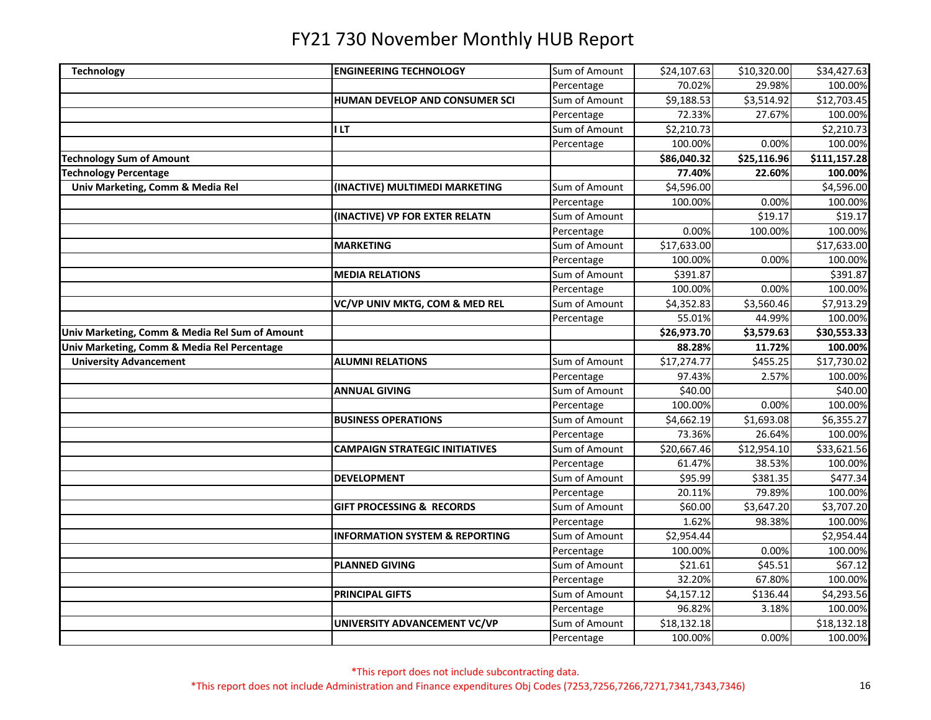| Technology                                     | <b>ENGINEERING TECHNOLOGY</b>             | Sum of Amount | \$24,107.63             | \$10,320.00 | \$34,427.63  |
|------------------------------------------------|-------------------------------------------|---------------|-------------------------|-------------|--------------|
|                                                |                                           | Percentage    | 70.02%                  | 29.98%      | 100.00%      |
|                                                | HUMAN DEVELOP AND CONSUMER SCI            | Sum of Amount | \$9,188.53              | \$3,514.92  | \$12,703.45  |
|                                                |                                           | Percentage    | 72.33%                  | 27.67%      | 100.00%      |
|                                                | I LT                                      | Sum of Amount | \$2,210.73              |             | \$2,210.73   |
|                                                |                                           | Percentage    | 100.00%                 | 0.00%       | 100.00%      |
| <b>Technology Sum of Amount</b>                |                                           |               | \$86,040.32             | \$25,116.96 | \$111,157.28 |
| <b>Technology Percentage</b>                   |                                           |               | 77.40%                  | 22.60%      | 100.00%      |
| Univ Marketing, Comm & Media Rel               | (INACTIVE) MULTIMEDI MARKETING            | Sum of Amount | \$4,596.00              |             | \$4,596.00   |
|                                                |                                           | Percentage    | 100.00%                 | 0.00%       | 100.00%      |
|                                                | (INACTIVE) VP FOR EXTER RELATN            | Sum of Amount |                         | \$19.17     | \$19.17      |
|                                                |                                           | Percentage    | 0.00%                   | 100.00%     | 100.00%      |
|                                                | <b>MARKETING</b>                          | Sum of Amount | $\overline{$}17,633.00$ |             | \$17,633.00  |
|                                                |                                           | Percentage    | 100.00%                 | 0.00%       | 100.00%      |
|                                                | <b>MEDIA RELATIONS</b>                    | Sum of Amount | \$391.87                |             | \$391.87     |
|                                                |                                           | Percentage    | 100.00%                 | 0.00%       | 100.00%      |
|                                                | VC/VP UNIV MKTG, COM & MED REL            | Sum of Amount | \$4,352.83              | \$3,560.46  | \$7,913.29   |
|                                                |                                           | Percentage    | 55.01%                  | 44.99%      | 100.00%      |
| Univ Marketing, Comm & Media Rel Sum of Amount |                                           |               | \$26,973.70             | \$3,579.63  | \$30,553.33  |
| Univ Marketing, Comm & Media Rel Percentage    |                                           |               | 88.28%                  | 11.72%      | 100.00%      |
| <b>University Advancement</b>                  | <b>ALUMNI RELATIONS</b>                   | Sum of Amount | \$17,274.77             | \$455.25    | \$17,730.02  |
|                                                |                                           | Percentage    | 97.43%                  | 2.57%       | 100.00%      |
|                                                | <b>ANNUAL GIVING</b>                      | Sum of Amount | \$40.00                 |             | \$40.00      |
|                                                |                                           | Percentage    | 100.00%                 | 0.00%       | 100.00%      |
|                                                | <b>BUSINESS OPERATIONS</b>                | Sum of Amount | \$4,662.19              | \$1,693.08  | \$6,355.27   |
|                                                |                                           | Percentage    | 73.36%                  | 26.64%      | 100.00%      |
|                                                | <b>CAMPAIGN STRATEGIC INITIATIVES</b>     | Sum of Amount | \$20,667.46             | \$12,954.10 | \$33,621.56  |
|                                                |                                           | Percentage    | 61.47%                  | 38.53%      | 100.00%      |
|                                                | <b>DEVELOPMENT</b>                        | Sum of Amount | \$95.99                 | \$381.35    | \$477.34     |
|                                                |                                           | Percentage    | 20.11%                  | 79.89%      | 100.00%      |
|                                                | <b>GIFT PROCESSING &amp; RECORDS</b>      | Sum of Amount | \$60.00                 | \$3,647.20  | \$3,707.20   |
|                                                |                                           | Percentage    | 1.62%                   | 98.38%      | 100.00%      |
|                                                | <b>INFORMATION SYSTEM &amp; REPORTING</b> | Sum of Amount | \$2,954.44              |             | \$2,954.44   |
|                                                |                                           | Percentage    | 100.00%                 | 0.00%       | 100.00%      |
|                                                | <b>PLANNED GIVING</b>                     | Sum of Amount | \$21.61                 | \$45.51     | \$67.12      |
|                                                |                                           | Percentage    | 32.20%                  | 67.80%      | 100.00%      |
|                                                | <b>PRINCIPAL GIFTS</b>                    | Sum of Amount | \$4,157.12              | \$136.44    | \$4,293.56   |
|                                                |                                           | Percentage    | 96.82%                  | 3.18%       | 100.00%      |
|                                                | UNIVERSITY ADVANCEMENT VC/VP              | Sum of Amount | \$18,132.18             |             | \$18,132.18  |
|                                                |                                           | Percentage    | 100.00%                 | 0.00%       | 100.00%      |